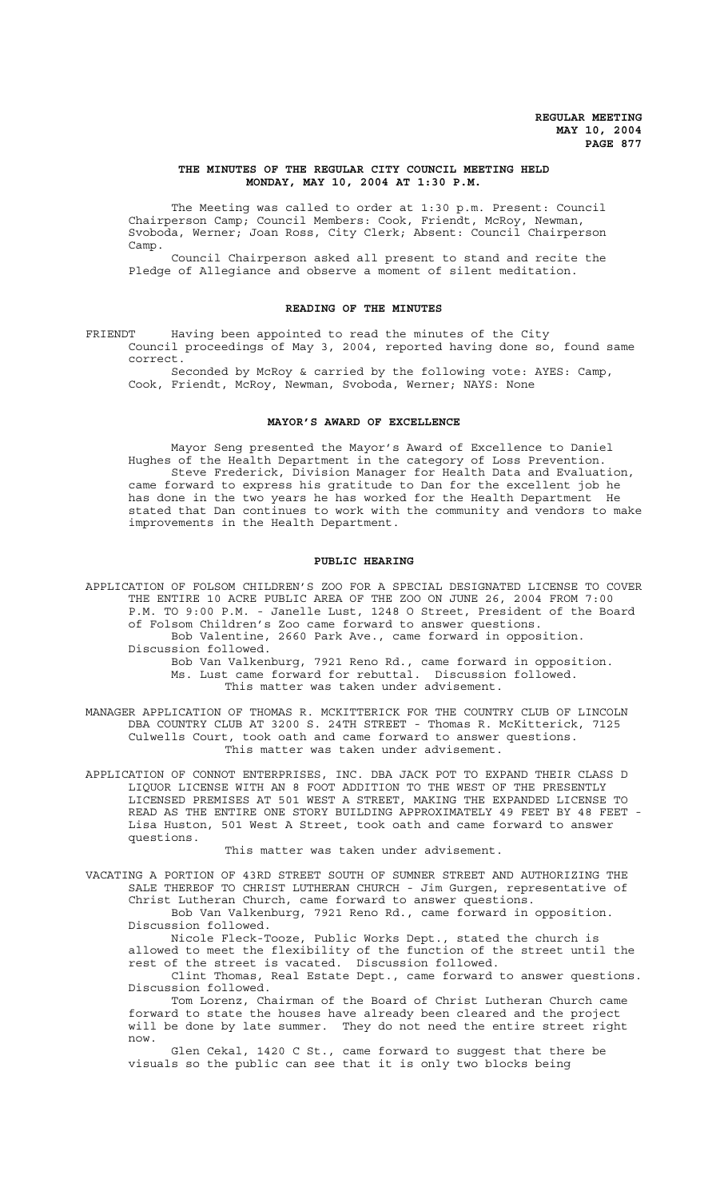# **THE MINUTES OF THE REGULAR CITY COUNCIL MEETING HELD MONDAY, MAY 10, 2004 AT 1:30 P.M.**

The Meeting was called to order at 1:30 p.m. Present: Council Chairperson Camp; Council Members: Cook, Friendt, McRoy, Newman, Svoboda, Werner; Joan Ross, City Clerk; Absent: Council Chairperson Camp.

Council Chairperson asked all present to stand and recite the Pledge of Allegiance and observe a moment of silent meditation.

# **READING OF THE MINUTES**

FRIENDT Having been appointed to read the minutes of the City Council proceedings of May 3, 2004, reported having done so, found same correct.

Seconded by McRoy & carried by the following vote: AYES: Camp, Cook, Friendt, McRoy, Newman, Svoboda, Werner; NAYS: None

# **MAYOR'S AWARD OF EXCELLENCE**

Mayor Seng presented the Mayor's Award of Excellence to Daniel Hughes of the Health Department in the category of Loss Prevention. Steve Frederick, Division Manager for Health Data and Evaluation, came forward to express his gratitude to Dan for the excellent job he has done in the two years he has worked for the Health Department He stated that Dan continues to work with the community and vendors to make improvements in the Health Department.

# **PUBLIC HEARING**

APPLICATION OF FOLSOM CHILDREN'S ZOO FOR A SPECIAL DESIGNATED LICENSE TO COVER THE ENTIRE 10 ACRE PUBLIC AREA OF THE ZOO ON JUNE 26, 2004 FROM 7:00 P.M. TO 9:00 P.M. - Janelle Lust, 1248 O Street, President of the Board of Folsom Children's Zoo came forward to answer questions. Bob Valentine, 2660 Park Ave., came forward in opposition. Discussion followed.

Bob Van Valkenburg, 7921 Reno Rd., came forward in opposition. Ms. Lust came forward for rebuttal. Discussion followed. This matter was taken under advisement.

MANAGER APPLICATION OF THOMAS R. MCKITTERICK FOR THE COUNTRY CLUB OF LINCOLN DBA COUNTRY CLUB AT 3200 S. 24TH STREET - Thomas R. McKitterick, 7125 Culwells Court, took oath and came forward to answer questions. This matter was taken under advisement.

APPLICATION OF CONNOT ENTERPRISES, INC. DBA JACK POT TO EXPAND THEIR CLASS D LIQUOR LICENSE WITH AN 8 FOOT ADDITION TO THE WEST OF THE PRESENTLY LICENSED PREMISES AT 501 WEST A STREET, MAKING THE EXPANDED LICENSE TO READ AS THE ENTIRE ONE STORY BUILDING APPROXIMATELY 49 FEET BY 48 FEET -Lisa Huston, 501 West A Street, took oath and came forward to answer questions.

This matter was taken under advisement.

VACATING A PORTION OF 43RD STREET SOUTH OF SUMNER STREET AND AUTHORIZING THE SALE THEREOF TO CHRIST LUTHERAN CHURCH - Jim Gurgen, representative of Christ Lutheran Church, came forward to answer questions.

Bob Van Valkenburg, 7921 Reno Rd., came forward in opposition. Discussion followed.

Nicole Fleck-Tooze, Public Works Dept., stated the church is allowed to meet the flexibility of the function of the street until the rest of the street is vacated. Discussion followed.

Clint Thomas, Real Estate Dept., came forward to answer questions. Discussion followed.

Tom Lorenz, Chairman of the Board of Christ Lutheran Church came forward to state the houses have already been cleared and the project will be done by late summer. They do not need the entire street right now.

Glen Cekal, 1420 C St., came forward to suggest that there be visuals so the public can see that it is only two blocks being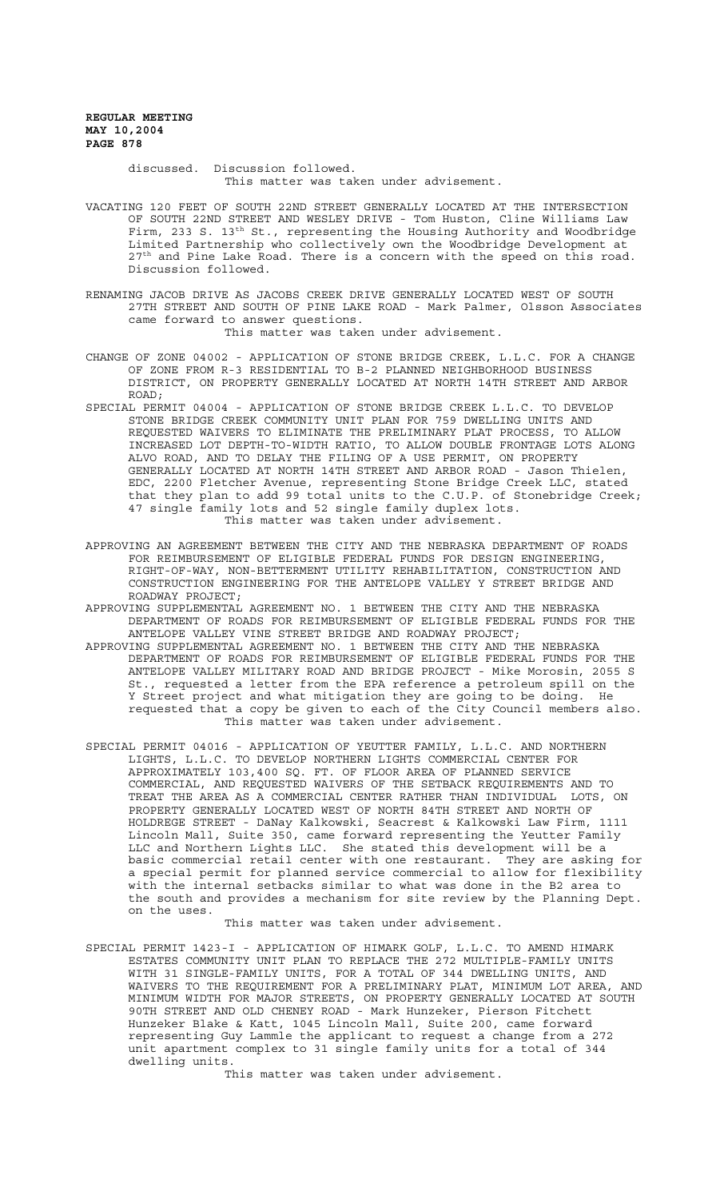> discussed. Discussion followed. This matter was taken under advisement.

VACATING 120 FEET OF SOUTH 22ND STREET GENERALLY LOCATED AT THE INTERSECTION OF SOUTH 22ND STREET AND WESLEY DRIVE - Tom Huston, Cline Williams Law Firm, 233 S.  $13<sup>th</sup>$  St., representing the Housing Authority and Woodbridge Limited Partnership who collectively own the Woodbridge Development at 27<sup>th</sup> and Pine Lake Road. There is a concern with the speed on this road. Discussion followed.

RENAMING JACOB DRIVE AS JACOBS CREEK DRIVE GENERALLY LOCATED WEST OF SOUTH 27TH STREET AND SOUTH OF PINE LAKE ROAD - Mark Palmer, Olsson Associates came forward to answer questions. This matter was taken under advisement.

CHANGE OF ZONE 04002 - APPLICATION OF STONE BRIDGE CREEK, L.L.C. FOR A CHANGE OF ZONE FROM R-3 RESIDENTIAL TO B-2 PLANNED NEIGHBORHOOD BUSINESS DISTRICT, ON PROPERTY GENERALLY LOCATED AT NORTH 14TH STREET AND ARBOR ROAD;

SPECIAL PERMIT 04004 - APPLICATION OF STONE BRIDGE CREEK L.L.C. TO DEVELOP STONE BRIDGE CREEK COMMUNITY UNIT PLAN FOR 759 DWELLING UNITS AND REQUESTED WAIVERS TO ELIMINATE THE PRELIMINARY PLAT PROCESS, TO ALLOW INCREASED LOT DEPTH-TO-WIDTH RATIO, TO ALLOW DOUBLE FRONTAGE LOTS ALONG ALVO ROAD, AND TO DELAY THE FILING OF A USE PERMIT, ON PROPERTY GENERALLY LOCATED AT NORTH 14TH STREET AND ARBOR ROAD - Jason Thielen, EDC, 2200 Fletcher Avenue, representing Stone Bridge Creek LLC, stated that they plan to add 99 total units to the C.U.P. of Stonebridge Creek; 47 single family lots and 52 single family duplex lots. This matter was taken under advisement.

APPROVING AN AGREEMENT BETWEEN THE CITY AND THE NEBRASKA DEPARTMENT OF ROADS FOR REIMBURSEMENT OF ELIGIBLE FEDERAL FUNDS FOR DESIGN ENGINEERING, RIGHT-OF-WAY, NON-BETTERMENT UTILITY REHABILITATION, CONSTRUCTION AND CONSTRUCTION ENGINEERING FOR THE ANTELOPE VALLEY Y STREET BRIDGE AND ROADWAY PROJECT;

APPROVING SUPPLEMENTAL AGREEMENT NO. 1 BETWEEN THE CITY AND THE NEBRASKA DEPARTMENT OF ROADS FOR REIMBURSEMENT OF ELIGIBLE FEDERAL FUNDS FOR THE ANTELOPE VALLEY VINE STREET BRIDGE AND ROADWAY PROJECT;

APPROVING SUPPLEMENTAL AGREEMENT NO. 1 BETWEEN THE CITY AND THE NEBRASKA DEPARTMENT OF ROADS FOR REIMBURSEMENT OF ELIGIBLE FEDERAL FUNDS FOR THE ANTELOPE VALLEY MILITARY ROAD AND BRIDGE PROJECT - Mike Morosin, 2055 S St., requested a letter from the EPA reference a petroleum spill on the Y Street project and what mitigation they are going to be doing. He requested that a copy be given to each of the City Council members also. This matter was taken under advisement.

SPECIAL PERMIT 04016 - APPLICATION OF YEUTTER FAMILY, L.L.C. AND NORTHERN LIGHTS, L.L.C. TO DEVELOP NORTHERN LIGHTS COMMERCIAL CENTER FOR APPROXIMATELY 103,400 SQ. FT. OF FLOOR AREA OF PLANNED SERVICE COMMERCIAL, AND REQUESTED WAIVERS OF THE SETBACK REQUIREMENTS AND TO TREAT THE AREA AS A COMMERCIAL CENTER RATHER THAN INDIVIDUAL LOTS, ON PROPERTY GENERALLY LOCATED WEST OF NORTH 84TH STREET AND NORTH OF HOLDREGE STREET - DaNay Kalkowski, Seacrest & Kalkowski Law Firm, 1111 Lincoln Mall, Suite 350, came forward representing the Yeutter Family LLC and Northern Lights LLC. She stated this development will be a basic commercial retail center with one restaurant. They are asking for a special permit for planned service commercial to allow for flexibility with the internal setbacks similar to what was done in the B2 area to the south and provides a mechanism for site review by the Planning Dept. on the uses.

This matter was taken under advisement.

SPECIAL PERMIT 1423-I - APPLICATION OF HIMARK GOLF, L.L.C. TO AMEND HIMARK ESTATES COMMUNITY UNIT PLAN TO REPLACE THE 272 MULTIPLE-FAMILY UNITS WITH 31 SINGLE-FAMILY UNITS, FOR A TOTAL OF 344 DWELLING UNITS, AND WAIVERS TO THE REQUIREMENT FOR A PRELIMINARY PLAT, MINIMUM LOT AREA, AND MINIMUM WIDTH FOR MAJOR STREETS, ON PROPERTY GENERALLY LOCATED AT SOUTH 90TH STREET AND OLD CHENEY ROAD - Mark Hunzeker, Pierson Fitchett Hunzeker Blake & Katt, 1045 Lincoln Mall, Suite 200, came forward representing Guy Lammle the applicant to request a change from a 272 unit apartment complex to 31 single family units for a total of 344 dwelling units.

This matter was taken under advisement.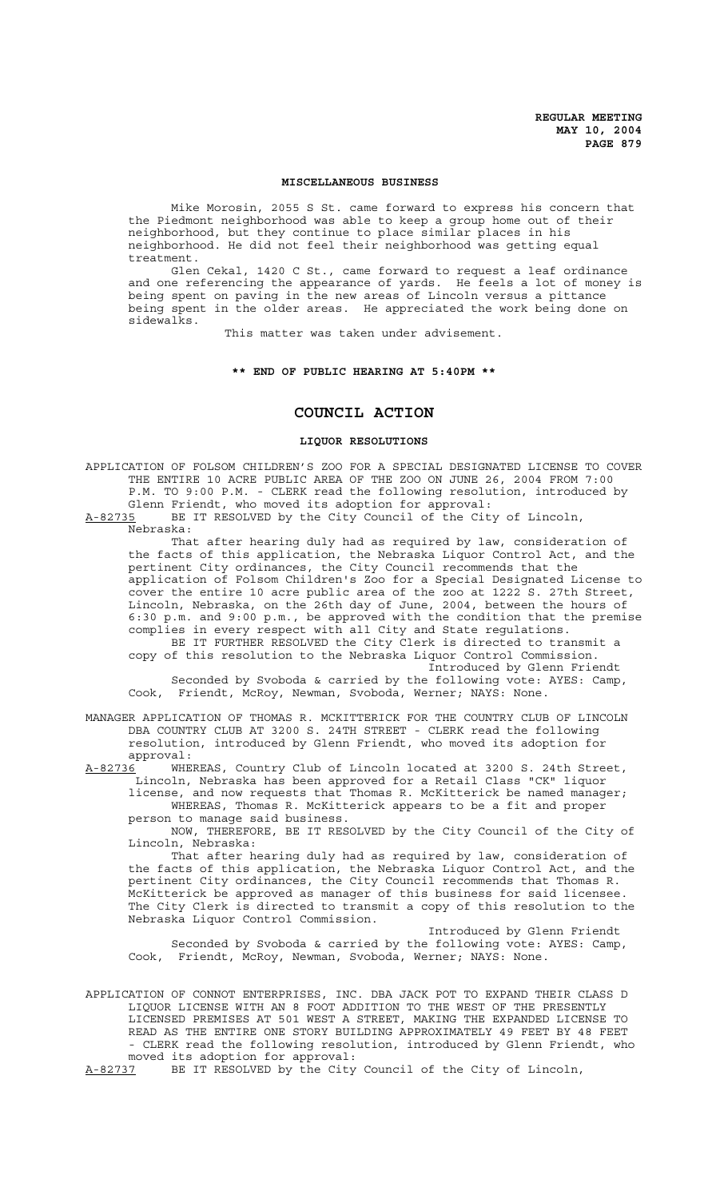### **MISCELLANEOUS BUSINESS**

Mike Morosin, 2055 S St. came forward to express his concern that the Piedmont neighborhood was able to keep a group home out of their neighborhood, but they continue to place similar places in his neighborhood. He did not feel their neighborhood was getting equal treatment.

Glen Cekal, 1420 C St., came forward to request a leaf ordinance and one referencing the appearance of yards. He feels a lot of money is being spent on paving in the new areas of Lincoln versus a pittance being spent in the older areas. He appreciated the work being done on sidewalks.

This matter was taken under advisement.

#### **\*\* END OF PUBLIC HEARING AT 5:40PM \*\***

# **COUNCIL ACTION**

## **LIQUOR RESOLUTIONS**

APPLICATION OF FOLSOM CHILDREN'S ZOO FOR A SPECIAL DESIGNATED LICENSE TO COVER THE ENTIRE 10 ACRE PUBLIC AREA OF THE ZOO ON JUNE 26, 2004 FROM 7:00 P.M. TO 9:00 P.M. - CLERK read the following resolution, introduced by Glenn Friendt, who moved its adoption for approval:

A-82735 BE IT RESOLVED by the City Council of the City of Lincoln, Nebraska:

That after hearing duly had as required by law, consideration of the facts of this application, the Nebraska Liquor Control Act, and the pertinent City ordinances, the City Council recommends that the application of Folsom Children's Zoo for a Special Designated License to cover the entire 10 acre public area of the zoo at 1222 S. 27th Street, Lincoln, Nebraska, on the 26th day of June, 2004, between the hours of 6:30 p.m. and 9:00 p.m., be approved with the condition that the premise complies in every respect with all City and State regulations. BE IT FURTHER RESOLVED the City Clerk is directed to transmit a

copy of this resolution to the Nebraska Liquor Control Commission. Introduced by Glenn Friendt Seconded by Svoboda & carried by the following vote: AYES: Camp,

Cook, Friendt, McRoy, Newman, Svoboda, Werner; NAYS: None.

MANAGER APPLICATION OF THOMAS R. MCKITTERICK FOR THE COUNTRY CLUB OF LINCOLN DBA COUNTRY CLUB AT 3200 S. 24TH STREET - CLERK read the following resolution, introduced by Glenn Friendt, who moved its adoption for approval:

A-82736 WHEREAS, Country Club of Lincoln located at 3200 S. 24th Street, Lincoln, Nebraska has been approved for a Retail Class "CK" liquor license, and now requests that Thomas R. McKitterick be named manager;

WHEREAS, Thomas R. McKitterick appears to be a fit and proper person to manage said business.

NOW, THEREFORE, BE IT RESOLVED by the City Council of the City of Lincoln, Nebraska:

That after hearing duly had as required by law, consideration of the facts of this application, the Nebraska Liquor Control Act, and the pertinent City ordinances, the City Council recommends that Thomas R. McKitterick be approved as manager of this business for said licensee. The City Clerk is directed to transmit a copy of this resolution to the Nebraska Liquor Control Commission.

Introduced by Glenn Friendt Seconded by Svoboda & carried by the following vote: AYES: Camp, Cook, Friendt, McRoy, Newman, Svoboda, Werner; NAYS: None.

APPLICATION OF CONNOT ENTERPRISES, INC. DBA JACK POT TO EXPAND THEIR CLASS D LIQUOR LICENSE WITH AN 8 FOOT ADDITION TO THE WEST OF THE PRESENTLY LICENSED PREMISES AT 501 WEST A STREET, MAKING THE EXPANDED LICENSE TO READ AS THE ENTIRE ONE STORY BUILDING APPROXIMATELY 49 FEET BY 48 FEET - CLERK read the following resolution, introduced by Glenn Friendt, who moved its adoption for approval:

A-82737 BE IT RESOLVED by the City Council of the City of Lincoln,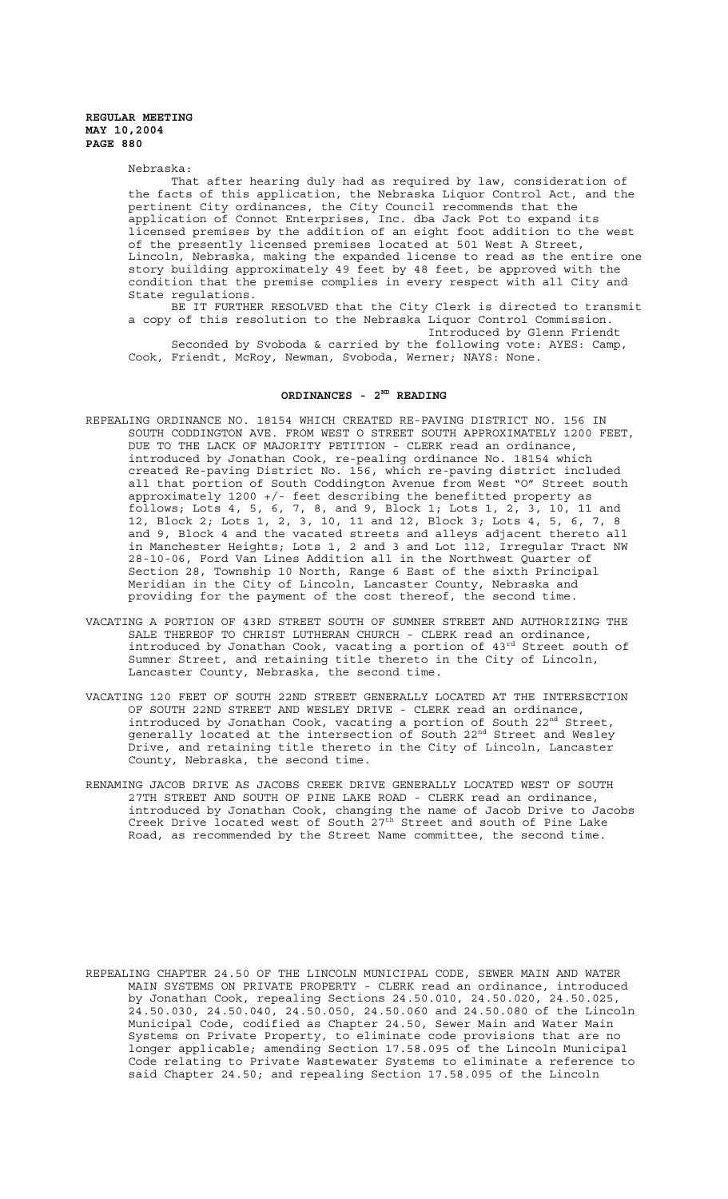Nebraska:

That after hearing duly had as required by law, consideration of the facts of this application, the Nebraska Liquor Control Act, and the pertinent City ordinances, the City Council recommends that the application of Connot Enterprises, Inc. dba Jack Pot to expand its licensed premises by the addition of an eight foot addition to the west of the presently licensed premises located at 501 West A Street, Lincoln, Nebraska, making the expanded license to read as the entire one story building approximately 49 feet by 48 feet, be approved with the condition that the premise complies in every respect with all City and State regulations.

BE IT FURTHER RESOLVED that the City Clerk is directed to transmit a copy of this resolution to the Nebraska Liquor Control Commission. Introduced by Glenn Friendt

Seconded by Svoboda & carried by the following vote: AYES: Camp, Cook, Friendt, McRoy, Newman, Svoboda, Werner; NAYS: None.

# ORDINANCES - 2<sup>ND</sup> READING

- REPEALING ORDINANCE NO. 18154 WHICH CREATED RE-PAVING DISTRICT NO. 156 IN SOUTH CODDINGTON AVE. FROM WEST O STREET SOUTH APPROXIMATELY 1200 FEET, DUE TO THE LACK OF MAJORITY PETITION - CLERK read an ordinance, introduced by Jonathan Cook, re-pealing ordinance No. 18154 which created Re-paving District No. 156, which re-paving district included all that portion of South Coddington Avenue from West "O" Street south approximately 1200 +/- feet describing the benefitted property as follows; Lots 4, 5, 6, 7, 8, and 9, Block 1; Lots 1, 2, 3, 10, 11 and 12, Block 2; Lots 1, 2, 3, 10, 11 and 12, Block 3; Lots 4, 5, 6, 7, 8 and 9, Block 4 and the vacated streets and alleys adjacent thereto all in Manchester Heights; Lots 1, 2 and 3 and Lot 112, Irregular Tract NW 28-10-06, Ford Van Lines Addition all in the Northwest Quarter of Section 28, Township 10 North, Range 6 East of the sixth Principal Meridian in the City of Lincoln, Lancaster County, Nebraska and providing for the payment of the cost thereof, the second time.
- VACATING A PORTION OF 43RD STREET SOUTH OF SUMNER STREET AND AUTHORIZING THE SALE THEREOF TO CHRIST LUTHERAN CHURCH - CLERK read an ordinance, introduced by Jonathan Cook, vacating a portion of 43rd Street south of Sumner Street, and retaining title thereto in the City of Lincoln, Lancaster County, Nebraska, the second time.
- VACATING 120 FEET OF SOUTH 22ND STREET GENERALLY LOCATED AT THE INTERSECTION OF SOUTH 22ND STREET AND WESLEY DRIVE - CLERK read an ordinance, introduced by Jonathan Cook, vacating a portion of South  $22<sup>nd</sup>$  Street, generally located at the intersection of South 22<sup>nd</sup> Street and Wesley Drive, and retaining title thereto in the City of Lincoln, Lancaster County, Nebraska, the second time.
- RENAMING JACOB DRIVE AS JACOBS CREEK DRIVE GENERALLY LOCATED WEST OF SOUTH 27TH STREET AND SOUTH OF PINE LAKE ROAD - CLERK read an ordinance, introduced by Jonathan Cook, changing the name of Jacob Drive to Jacobs Creek Drive located west of South 27<sup>th</sup> Street and south of Pine Lake Road, as recommended by the Street Name committee, the second time.

REPEALING CHAPTER 24.50 OF THE LINCOLN MUNICIPAL CODE, SEWER MAIN AND WATER MAIN SYSTEMS ON PRIVATE PROPERTY - CLERK read an ordinance, introduced by Jonathan Cook, repealing Sections 24.50.010, 24.50.020, 24.50.025, 24.50.030, 24.50.040, 24.50.050, 24.50.060 and 24.50.080 of the Lincoln Municipal Code, codified as Chapter 24.50, Sewer Main and Water Main Systems on Private Property, to eliminate code provisions that are no longer applicable; amending Section 17.58.095 of the Lincoln Municipal Code relating to Private Wastewater Systems to eliminate a reference to said Chapter 24.50; and repealing Section 17.58.095 of the Lincoln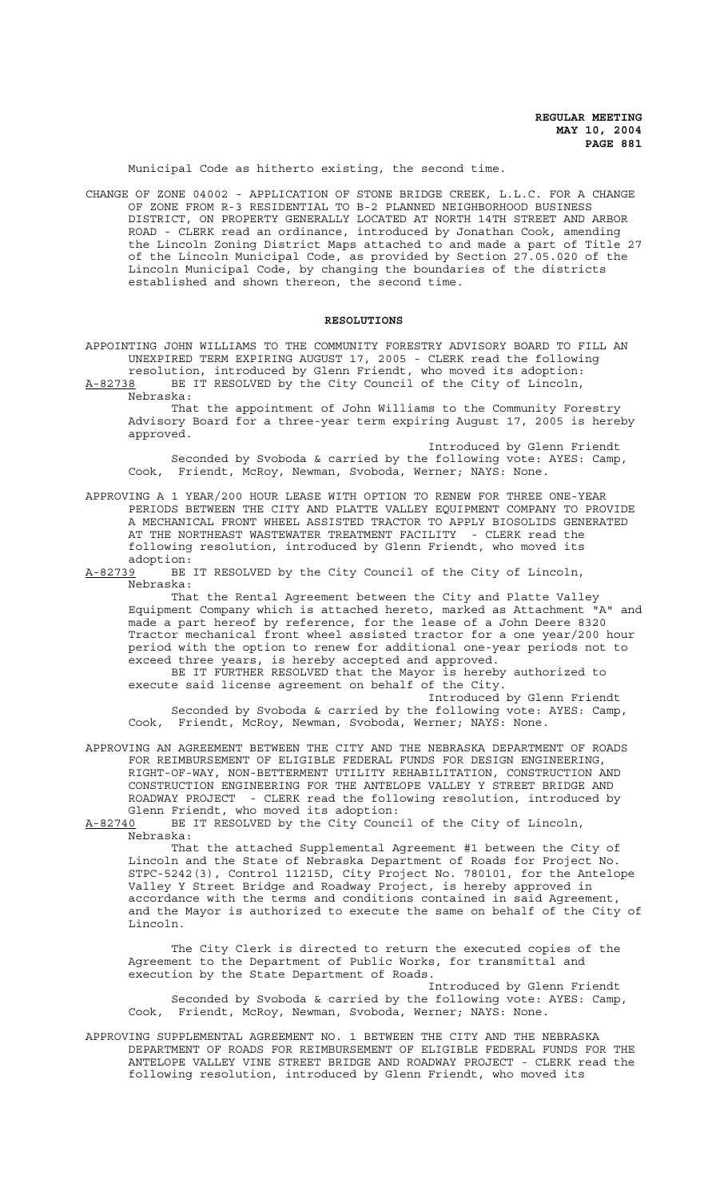Municipal Code as hitherto existing, the second time.

CHANGE OF ZONE 04002 - APPLICATION OF STONE BRIDGE CREEK, L.L.C. FOR A CHANGE OF ZONE FROM R-3 RESIDENTIAL TO B-2 PLANNED NEIGHBORHOOD BUSINESS DISTRICT, ON PROPERTY GENERALLY LOCATED AT NORTH 14TH STREET AND ARBOR ROAD - CLERK read an ordinance, introduced by Jonathan Cook, amending the Lincoln Zoning District Maps attached to and made a part of Title 27 of the Lincoln Municipal Code, as provided by Section 27.05.020 of the Lincoln Municipal Code, by changing the boundaries of the districts established and shown thereon, the second time.

#### **RESOLUTIONS**

APPOINTING JOHN WILLIAMS TO THE COMMUNITY FORESTRY ADVISORY BOARD TO FILL AN UNEXPIRED TERM EXPIRING AUGUST 17, 2005 - CLERK read the following resolution, introduced by Glenn Friendt, who moved its adoption:<br>A-82738 BE IT RESOLVED by the City Council of the City of Lincoln,

BE IT RESOLVED by the City Council of the City of Lincoln, Nebraska: That the appointment of John Williams to the Community Forestry

Advisory Board for a three-year term expiring August 17, 2005 is hereby approved.

Introduced by Glenn Friendt Seconded by Svoboda & carried by the following vote: AYES: Camp, Cook, Friendt, McRoy, Newman, Svoboda, Werner; NAYS: None.

APPROVING A 1 YEAR/200 HOUR LEASE WITH OPTION TO RENEW FOR THREE ONE-YEAR PERIODS BETWEEN THE CITY AND PLATTE VALLEY EQUIPMENT COMPANY TO PROVIDE A MECHANICAL FRONT WHEEL ASSISTED TRACTOR TO APPLY BIOSOLIDS GENERATED AT THE NORTHEAST WASTEWATER TREATMENT FACILITY - CLERK read the following resolution, introduced by Glenn Friendt, who moved its adoption:

A-82739 BE IT RESOLVED by the City Council of the City of Lincoln, Nebraska:

That the Rental Agreement between the City and Platte Valley Equipment Company which is attached hereto, marked as Attachment "A" and made a part hereof by reference, for the lease of a John Deere 8320 Tractor mechanical front wheel assisted tractor for a one year/200 hour period with the option to renew for additional one-year periods not to exceed three years, is hereby accepted and approved.

BE IT FURTHER RESOLVED that the Mayor is hereby authorized to execute said license agreement on behalf of the City.

Introduced by Glenn Friendt Seconded by Svoboda & carried by the following vote: AYES: Camp, Cook, Friendt, McRoy, Newman, Svoboda, Werner; NAYS: None.

APPROVING AN AGREEMENT BETWEEN THE CITY AND THE NEBRASKA DEPARTMENT OF ROADS FOR REIMBURSEMENT OF ELIGIBLE FEDERAL FUNDS FOR DESIGN ENGINEERING, RIGHT-OF-WAY, NON-BETTERMENT UTILITY REHABILITATION, CONSTRUCTION AND CONSTRUCTION ENGINEERING FOR THE ANTELOPE VALLEY Y STREET BRIDGE AND ROADWAY PROJECT - CLERK read the following resolution, introduced by Glenn Friendt, who moved its adoption:

A-82740 BE IT RESOLVED by the City Council of the City of Lincoln, Nebraska:

That the attached Supplemental Agreement #1 between the City of Lincoln and the State of Nebraska Department of Roads for Project No. STPC-5242(3), Control 11215D, City Project No. 780101, for the Antelope Valley Y Street Bridge and Roadway Project, is hereby approved in accordance with the terms and conditions contained in said Agreement, and the Mayor is authorized to execute the same on behalf of the City of Lincoln.

The City Clerk is directed to return the executed copies of the Agreement to the Department of Public Works, for transmittal and execution by the State Department of Roads.

Introduced by Glenn Friendt Seconded by Svoboda & carried by the following vote: AYES: Camp, Cook, Friendt, McRoy, Newman, Svoboda, Werner; NAYS: None.

APPROVING SUPPLEMENTAL AGREEMENT NO. 1 BETWEEN THE CITY AND THE NEBRASKA DEPARTMENT OF ROADS FOR REIMBURSEMENT OF ELIGIBLE FEDERAL FUNDS FOR THE ANTELOPE VALLEY VINE STREET BRIDGE AND ROADWAY PROJECT - CLERK read the following resolution, introduced by Glenn Friendt, who moved its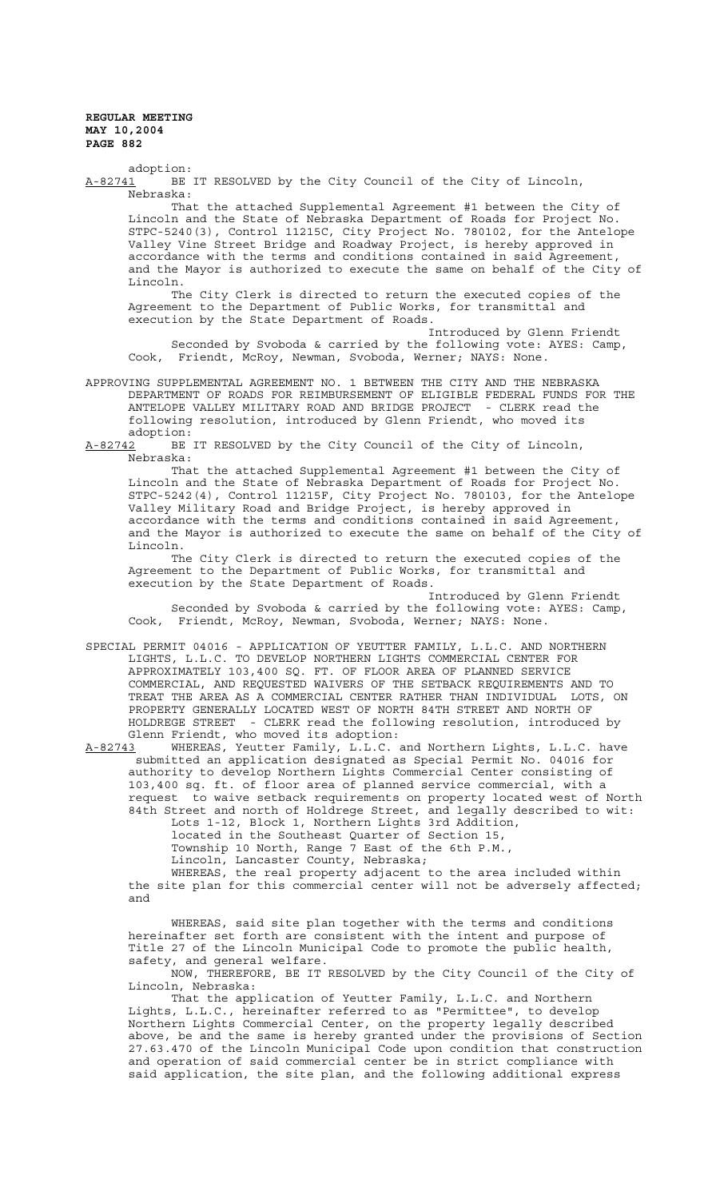adoption: A-82741 BE IT RESOLVED by the City Council of the City of Lincoln, Nebraska:

That the attached Supplemental Agreement #1 between the City of Lincoln and the State of Nebraska Department of Roads for Project No. STPC-5240(3), Control 11215C, City Project No. 780102, for the Antelope Valley Vine Street Bridge and Roadway Project, is hereby approved in accordance with the terms and conditions contained in said Agreement, and the Mayor is authorized to execute the same on behalf of the City of Lincoln.

The City Clerk is directed to return the executed copies of the Agreement to the Department of Public Works, for transmittal and execution by the State Department of Roads.

Introduced by Glenn Friendt Seconded by Svoboda & carried by the following vote: AYES: Camp, Cook, Friendt, McRoy, Newman, Svoboda, Werner; NAYS: None.

APPROVING SUPPLEMENTAL AGREEMENT NO. 1 BETWEEN THE CITY AND THE NEBRASKA DEPARTMENT OF ROADS FOR REIMBURSEMENT OF ELIGIBLE FEDERAL FUNDS FOR THE ANTELOPE VALLEY MILITARY ROAD AND BRIDGE PROJECT - CLERK read the following resolution, introduced by Glenn Friendt, who moved its

adoption:<br><u>A-82742</u> BE BE IT RESOLVED by the City Council of the City of Lincoln, Nebraska:

That the attached Supplemental Agreement #1 between the City of Lincoln and the State of Nebraska Department of Roads for Project No. STPC-5242(4), Control 11215F, City Project No. 780103, for the Antelope Valley Military Road and Bridge Project, is hereby approved in accordance with the terms and conditions contained in said Agreement, and the Mayor is authorized to execute the same on behalf of the City of Lincoln.

The City Clerk is directed to return the executed copies of the Agreement to the Department of Public Works, for transmittal and execution by the State Department of Roads.

Introduced by Glenn Friendt Seconded by Svoboda & carried by the following vote: AYES: Camp, Cook, Friendt, McRoy, Newman, Svoboda, Werner; NAYS: None.

SPECIAL PERMIT 04016 - APPLICATION OF YEUTTER FAMILY, L.L.C. AND NORTHERN LIGHTS, L.L.C. TO DEVELOP NORTHERN LIGHTS COMMERCIAL CENTER FOR APPROXIMATELY 103,400 SQ. FT. OF FLOOR AREA OF PLANNED SERVICE COMMERCIAL, AND REQUESTED WAIVERS OF THE SETBACK REQUIREMENTS AND TO TREAT THE AREA AS A COMMERCIAL CENTER RATHER THAN INDIVIDUAL LOTS, ON PROPERTY GENERALLY LOCATED WEST OF NORTH 84TH STREET AND NORTH OF HOLDREGE STREET - CLERK read the following resolution, introduced by Glenn Friendt, who moved its adoption:<br>A-82743 WHEREAS, Yeutter Family, L.L.C.

WHEREAS, Yeutter Family, L.L.C. and Northern Lights, L.L.C. have submitted an application designated as Special Permit No. 04016 for authority to develop Northern Lights Commercial Center consisting of 103,400 sq. ft. of floor area of planned service commercial, with a request to waive setback requirements on property located west of North 84th Street and north of Holdrege Street, and legally described to wit:

Lots 1-12, Block 1, Northern Lights 3rd Addition,

located in the Southeast Quarter of Section 15,

Township 10 North, Range 7 East of the 6th P.M.,

Lincoln, Lancaster County, Nebraska;

WHEREAS, the real property adjacent to the area included within the site plan for this commercial center will not be adversely affected; and

WHEREAS, said site plan together with the terms and conditions hereinafter set forth are consistent with the intent and purpose of Title 27 of the Lincoln Municipal Code to promote the public health, safety, and general welfare.

NOW, THEREFORE, BE IT RESOLVED by the City Council of the City of Lincoln, Nebraska:

That the application of Yeutter Family, L.L.C. and Northern Lights, L.L.C., hereinafter referred to as "Permittee", to develop Northern Lights Commercial Center, on the property legally described above, be and the same is hereby granted under the provisions of Section 27.63.470 of the Lincoln Municipal Code upon condition that construction and operation of said commercial center be in strict compliance with said application, the site plan, and the following additional express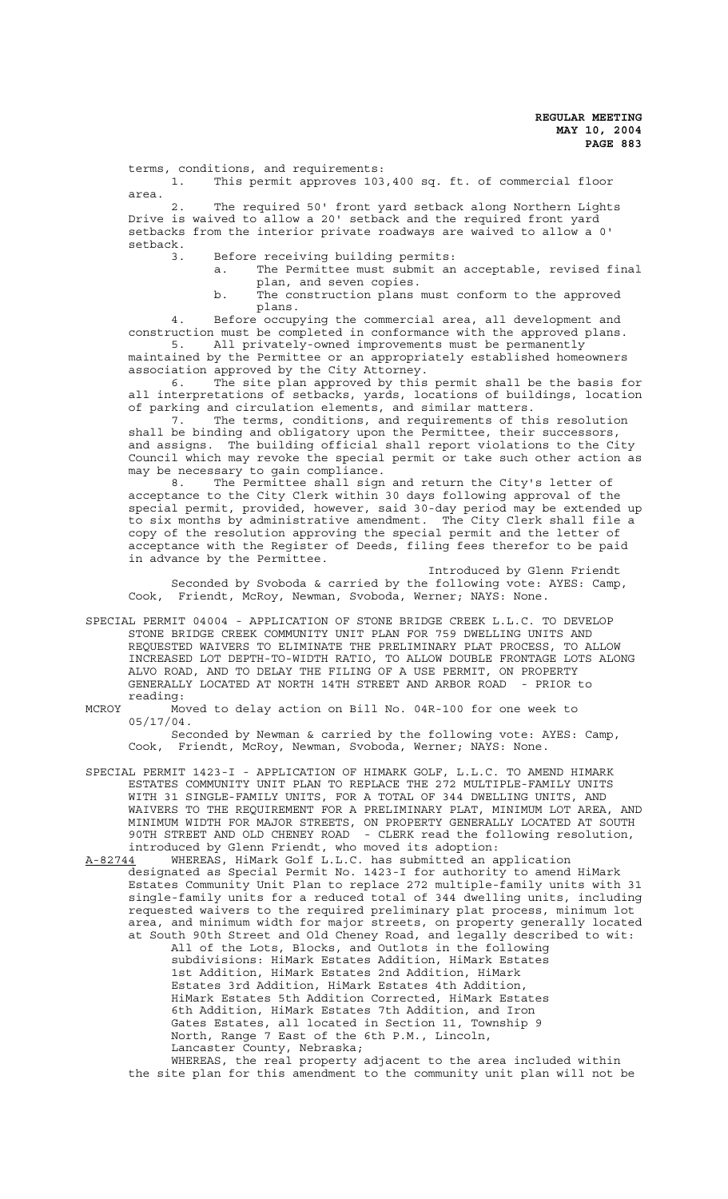terms, conditions, and requirements:

1. This permit approves 103,400 sq. ft. of commercial floor area.

2. The required 50' front yard setback along Northern Lights Drive is waived to allow a 20' setback and the required front yard setbacks from the interior private roadways are waived to allow a 0' setback.

3. Before receiving building permits:

a. The Permittee must submit an acceptable, revised final plan, and seven copies.

b. The construction plans must conform to the approved plans.

4. Before occupying the commercial area, all development and construction must be completed in conformance with the approved plans. 5. All privately-owned improvements must be permanently

maintained by the Permittee or an appropriately established homeowners association approved by the City Attorney.

6. The site plan approved by this permit shall be the basis for all interpretations of setbacks, yards, locations of buildings, location of parking and circulation elements, and similar matters.

7. The terms, conditions, and requirements of this resolution shall be binding and obligatory upon the Permittee, their successors, and assigns. The building official shall report violations to the City Council which may revoke the special permit or take such other action as may be necessary to gain compliance.

8. The Permittee shall sign and return the City's letter of acceptance to the City Clerk within 30 days following approval of the special permit, provided, however, said 30-day period may be extended up to six months by administrative amendment. The City Clerk shall file a copy of the resolution approving the special permit and the letter of acceptance with the Register of Deeds, filing fees therefor to be paid in advance by the Permittee.

Introduced by Glenn Friendt Seconded by Svoboda & carried by the following vote: AYES: Camp, Cook, Friendt, McRoy, Newman, Svoboda, Werner; NAYS: None.

- SPECIAL PERMIT 04004 APPLICATION OF STONE BRIDGE CREEK L.L.C. TO DEVELOP STONE BRIDGE CREEK COMMUNITY UNIT PLAN FOR 759 DWELLING UNITS AND REQUESTED WAIVERS TO ELIMINATE THE PRELIMINARY PLAT PROCESS, TO ALLOW INCREASED LOT DEPTH-TO-WIDTH RATIO, TO ALLOW DOUBLE FRONTAGE LOTS ALONG ALVO ROAD, AND TO DELAY THE FILING OF A USE PERMIT, ON PROPERTY GENERALLY LOCATED AT NORTH 14TH STREET AND ARBOR ROAD - PRIOR to reading:
- MCROY Moved to delay action on Bill No. 04R-100 for one week to 05/17/04.

Seconded by Newman & carried by the following vote: AYES: Camp, Cook, Friendt, McRoy, Newman, Svoboda, Werner; NAYS: None.

- SPECIAL PERMIT 1423-I APPLICATION OF HIMARK GOLF, L.L.C. TO AMEND HIMARK ESTATES COMMUNITY UNIT PLAN TO REPLACE THE 272 MULTIPLE-FAMILY UNITS WITH 31 SINGLE-FAMILY UNITS, FOR A TOTAL OF 344 DWELLING UNITS, AND WAIVERS TO THE REQUIREMENT FOR A PRELIMINARY PLAT, MINIMUM LOT AREA, AND MINIMUM WIDTH FOR MAJOR STREETS, ON PROPERTY GENERALLY LOCATED AT SOUTH 90TH STREET AND OLD CHENEY ROAD - CLERK read the following resolution, introduced by Glenn Friendt, who moved its adoption:
- A-82744 WHEREAS, HiMark Golf L.L.C. has submitted an application designated as Special Permit No. 1423-I for authority to amend HiMark Estates Community Unit Plan to replace 272 multiple-family units with 31 single-family units for a reduced total of 344 dwelling units, including requested waivers to the required preliminary plat process, minimum lot area, and minimum width for major streets, on property generally located at South 90th Street and Old Cheney Road, and legally described to wit: All of the Lots, Blocks, and Outlots in the following subdivisions: HiMark Estates Addition, HiMark Estates 1st Addition, HiMark Estates 2nd Addition, HiMark Estates 3rd Addition, HiMark Estates 4th Addition, HiMark Estates 5th Addition Corrected, HiMark Estates 6th Addition, HiMark Estates 7th Addition, and Iron Gates Estates, all located in Section 11, Township 9 North, Range 7 East of the 6th P.M., Lincoln, Lancaster County, Nebraska;

WHEREAS, the real property adjacent to the area included within the site plan for this amendment to the community unit plan will not be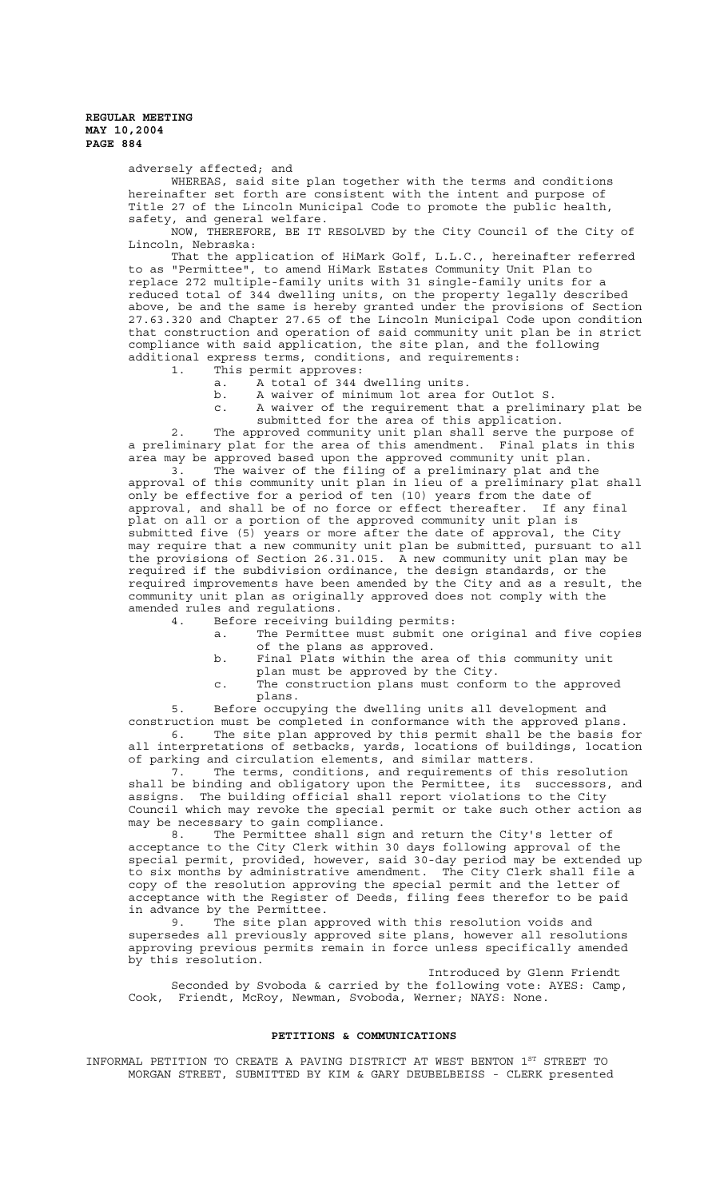adversely affected; and

WHEREAS, said site plan together with the terms and conditions hereinafter set forth are consistent with the intent and purpose of Title 27 of the Lincoln Municipal Code to promote the public health, safety, and general welfare.

NOW, THEREFORE, BE IT RESOLVED by the City Council of the City of Lincoln, Nebraska:

That the application of HiMark Golf, L.L.C., hereinafter referred to as "Permittee", to amend HiMark Estates Community Unit Plan to replace 272 multiple-family units with 31 single-family units for a reduced total of 344 dwelling units, on the property legally described above, be and the same is hereby granted under the provisions of Section 27.63.320 and Chapter 27.65 of the Lincoln Municipal Code upon condition that construction and operation of said community unit plan be in strict compliance with said application, the site plan, and the following additional express terms, conditions, and requirements:

1. This permit approves:

a. A total of 344 dwelling units.

b. A waiver of minimum lot area for Outlot S.

c. A waiver of the requirement that a preliminary plat be submitted for the area of this application.

2. The approved community unit plan shall serve the purpose of a preliminary plat for the area of this amendment. Final plats in this area may be approved based upon the approved community unit plan.

3. The waiver of the filing of a preliminary plat and the approval of this community unit plan in lieu of a preliminary plat shall only be effective for a period of ten (10) years from the date of approval, and shall be of no force or effect thereafter. If any final plat on all or a portion of the approved community unit plan is submitted five (5) years or more after the date of approval, the City may require that a new community unit plan be submitted, pursuant to all the provisions of Section 26.31.015. A new community unit plan may be required if the subdivision ordinance, the design standards, or the required improvements have been amended by the City and as a result, the community unit plan as originally approved does not comply with the amended rules and regulations.

4. Before receiving building permits:

- a. The Permittee must submit one original and five copies of the plans as approved.
- b. Final Plats within the area of this community unit plan must be approved by the City.
- c. The construction plans must conform to the approved plans.

5. Before occupying the dwelling units all development and construction must be completed in conformance with the approved plans. 6. The site plan approved by this permit shall be the basis for

all interpretations of setbacks, yards, locations of buildings, location of parking and circulation elements, and similar matters.

7. The terms, conditions, and requirements of this resolution shall be binding and obligatory upon the Permittee, its successors, and assigns. The building official shall report violations to the City Council which may revoke the special permit or take such other action as may be necessary to gain compliance.

8. The Permittee shall sign and return the City's letter of acceptance to the City Clerk within 30 days following approval of the special permit, provided, however, said 30-day period may be extended up to six months by administrative amendment. The City Clerk shall file a copy of the resolution approving the special permit and the letter of acceptance with the Register of Deeds, filing fees therefor to be paid in advance by the Permittee.

9. The site plan approved with this resolution voids and supersedes all previously approved site plans, however all resolutions approving previous permits remain in force unless specifically amended by this resolution.

Introduced by Glenn Friendt Seconded by Svoboda & carried by the following vote: AYES: Camp, Cook, Friendt, McRoy, Newman, Svoboda, Werner; NAYS: None.

## **PETITIONS & COMMUNICATIONS**

INFORMAL PETITION TO CREATE A PAVING DISTRICT AT WEST BENTON  $1^{\text{ST}}$  STREET TO MORGAN STREET, SUBMITTED BY KIM & GARY DEUBELBEISS - CLERK presented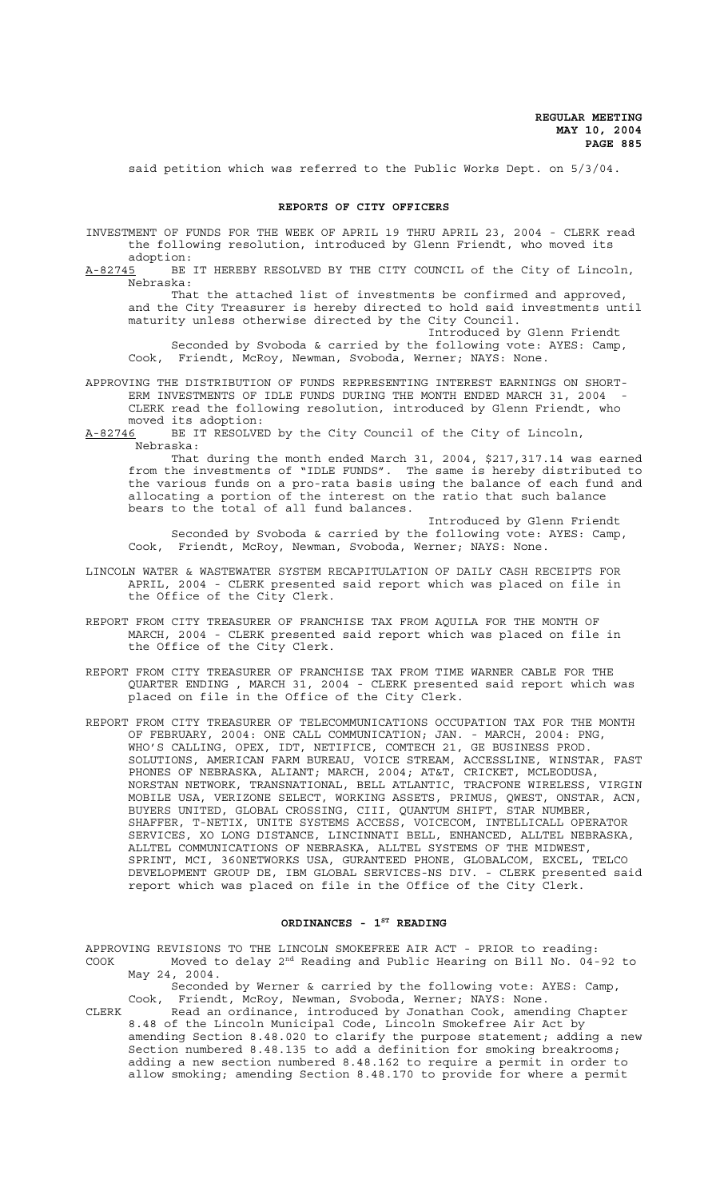said petition which was referred to the Public Works Dept. on 5/3/04.

#### **REPORTS OF CITY OFFICERS**

- INVESTMENT OF FUNDS FOR THE WEEK OF APRIL 19 THRU APRIL 23, 2004 CLERK read the following resolution, introduced by Glenn Friendt, who moved its adoption:
- A-82745 BE IT HEREBY RESOLVED BY THE CITY COUNCIL of the City of Lincoln, Nebraska:

That the attached list of investments be confirmed and approved, and the City Treasurer is hereby directed to hold said investments until maturity unless otherwise directed by the City Council.

Introduced by Glenn Friendt Seconded by Svoboda & carried by the following vote: AYES: Camp, Cook, Friendt, McRoy, Newman, Svoboda, Werner; NAYS: None.

- APPROVING THE DISTRIBUTION OF FUNDS REPRESENTING INTEREST EARNINGS ON SHORT-ERM INVESTMENTS OF IDLE FUNDS DURING THE MONTH ENDED MARCH 31, 2004 CLERK read the following resolution, introduced by Glenn Friendt, who moved its adoption:
- A-82746 BE IT RESOLVED by the City Council of the City of Lincoln, Nebraska:

That during the month ended March 31, 2004, \$217,317.14 was earned from the investments of "IDLE FUNDS". The same is hereby distributed to the various funds on a pro-rata basis using the balance of each fund and allocating a portion of the interest on the ratio that such balance bears to the total of all fund balances.

Introduced by Glenn Friendt Seconded by Svoboda & carried by the following vote: AYES: Camp, Cook, Friendt, McRoy, Newman, Svoboda, Werner; NAYS: None.

- LINCOLN WATER & WASTEWATER SYSTEM RECAPITULATION OF DAILY CASH RECEIPTS FOR APRIL, 2004 - CLERK presented said report which was placed on file in the Office of the City Clerk.
- REPORT FROM CITY TREASURER OF FRANCHISE TAX FROM AQUILA FOR THE MONTH OF MARCH, 2004 - CLERK presented said report which was placed on file in the Office of the City Clerk.
- REPORT FROM CITY TREASURER OF FRANCHISE TAX FROM TIME WARNER CABLE FOR THE QUARTER ENDING , MARCH 31, 2004 - CLERK presented said report which was placed on file in the Office of the City Clerk.
- REPORT FROM CITY TREASURER OF TELECOMMUNICATIONS OCCUPATION TAX FOR THE MONTH OF FEBRUARY, 2004: ONE CALL COMMUNICATION; JAN. - MARCH, 2004: PNG, WHO'S CALLING, OPEX, IDT, NETIFICE, COMTECH 21, GE BUSINESS PROD. SOLUTIONS, AMERICAN FARM BUREAU, VOICE STREAM, ACCESSLINE, WINSTAR, FAST PHONES OF NEBRASKA, ALIANT; MARCH, 2004; AT&T, CRICKET, MCLEODUSA, NORSTAN NETWORK, TRANSNATIONAL, BELL ATLANTIC, TRACFONE WIRELESS, VIRGIN MOBILE USA, VERIZONE SELECT, WORKING ASSETS, PRIMUS, QWEST, ONSTAR, ACN, BUYERS UNITED, GLOBAL CROSSING, CIII, QUANTUM SHIFT, STAR NUMBER, SHAFFER, T-NETIX, UNITE SYSTEMS ACCESS, VOICECOM, INTELLICALL OPERATOR SERVICES, XO LONG DISTANCE, LINCINNATI BELL, ENHANCED, ALLTEL NEBRASKA, ALLTEL COMMUNICATIONS OF NEBRASKA, ALLTEL SYSTEMS OF THE MIDWEST, SPRINT, MCI, 360NETWORKS USA, GURANTEED PHONE, GLOBALCOM, EXCEL, TELCO DEVELOPMENT GROUP DE, IBM GLOBAL SERVICES-NS DIV. - CLERK presented said report which was placed on file in the Office of the City Clerk.

#### ORDINANCES - 1<sup>ST</sup> READING

APPROVING REVISIONS TO THE LINCOLN SMOKEFREE AIR ACT - PRIOR to reading: COOK Moved to delay 2nd Reading and Public Hearing on Bill No. 04-92 to May 24, 2004.

Seconded by Werner & carried by the following vote: AYES: Camp, Cook, Friendt, McRoy, Newman, Svoboda, Werner; NAYS: None.

CLERK Read an ordinance, introduced by Jonathan Cook, amending Chapter 8.48 of the Lincoln Municipal Code, Lincoln Smokefree Air Act by amending Section 8.48.020 to clarify the purpose statement; adding a new Section numbered 8.48.135 to add a definition for smoking breakrooms; adding a new section numbered 8.48.162 to require a permit in order to allow smoking; amending Section 8.48.170 to provide for where a permit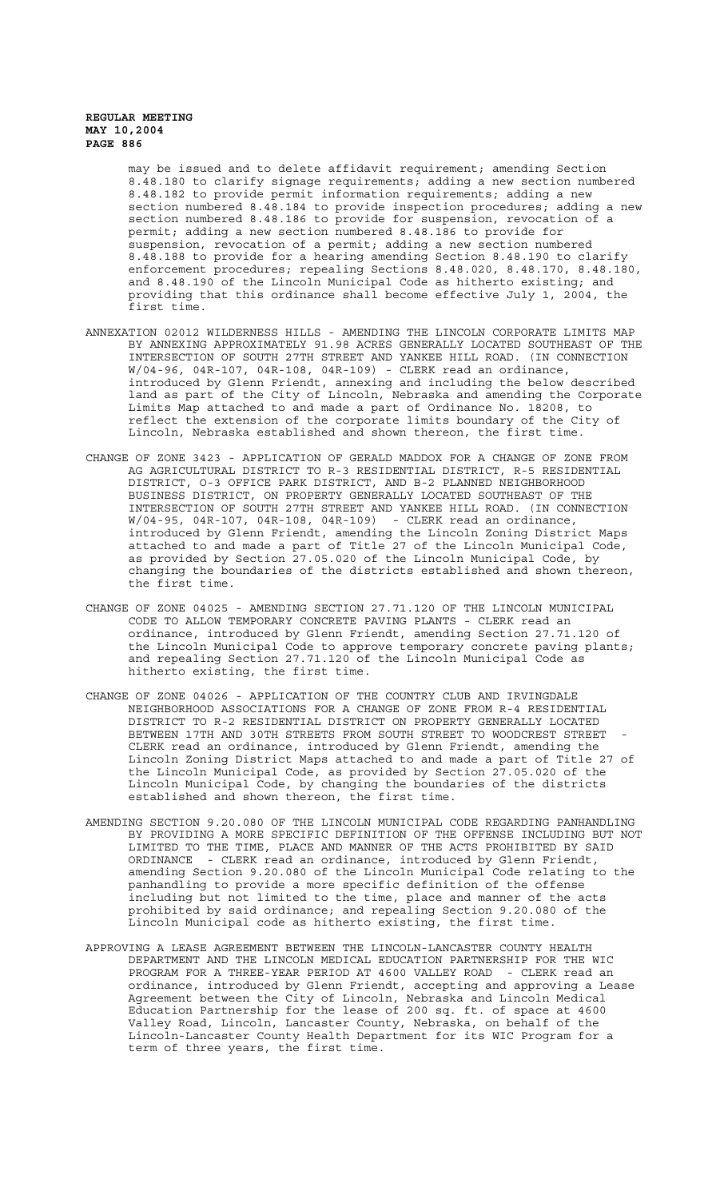may be issued and to delete affidavit requirement; amending Section 8.48.180 to clarify signage requirements; adding a new section numbered 8.48.182 to provide permit information requirements; adding a new section numbered 8.48.184 to provide inspection procedures; adding a new section numbered 8.48.186 to provide for suspension, revocation of a permit; adding a new section numbered 8.48.186 to provide for suspension, revocation of a permit; adding a new section numbered 8.48.188 to provide for a hearing amending Section 8.48.190 to clarify enforcement procedures; repealing Sections 8.48.020, 8.48.170, 8.48.180, and 8.48.190 of the Lincoln Municipal Code as hitherto existing; and providing that this ordinance shall become effective July 1, 2004, the first time.

- ANNEXATION 02012 WILDERNESS HILLS AMENDING THE LINCOLN CORPORATE LIMITS MAP BY ANNEXING APPROXIMATELY 91.98 ACRES GENERALLY LOCATED SOUTHEAST OF THE INTERSECTION OF SOUTH 27TH STREET AND YANKEE HILL ROAD. (IN CONNECTION W/04-96, 04R-107, 04R-108, 04R-109) - CLERK read an ordinance, introduced by Glenn Friendt, annexing and including the below described land as part of the City of Lincoln, Nebraska and amending the Corporate Limits Map attached to and made a part of Ordinance No. 18208, to reflect the extension of the corporate limits boundary of the City of Lincoln, Nebraska established and shown thereon, the first time.
- CHANGE OF ZONE 3423 APPLICATION OF GERALD MADDOX FOR A CHANGE OF ZONE FROM AG AGRICULTURAL DISTRICT TO R-3 RESIDENTIAL DISTRICT, R-5 RESIDENTIAL DISTRICT, O-3 OFFICE PARK DISTRICT, AND B-2 PLANNED NEIGHBORHOOD BUSINESS DISTRICT, ON PROPERTY GENERALLY LOCATED SOUTHEAST OF THE INTERSECTION OF SOUTH 27TH STREET AND YANKEE HILL ROAD. (IN CONNECTION W/04-95, 04R-107, 04R-108, 04R-109) - CLERK read an ordinance, introduced by Glenn Friendt, amending the Lincoln Zoning District Maps attached to and made a part of Title 27 of the Lincoln Municipal Code, as provided by Section 27.05.020 of the Lincoln Municipal Code, by changing the boundaries of the districts established and shown thereon, the first time.
- CHANGE OF ZONE 04025 AMENDING SECTION 27.71.120 OF THE LINCOLN MUNICIPAL CODE TO ALLOW TEMPORARY CONCRETE PAVING PLANTS - CLERK read an ordinance, introduced by Glenn Friendt, amending Section 27.71.120 of the Lincoln Municipal Code to approve temporary concrete paving plants; and repealing Section 27.71.120 of the Lincoln Municipal Code as hitherto existing, the first time.
- CHANGE OF ZONE 04026 APPLICATION OF THE COUNTRY CLUB AND IRVINGDALE NEIGHBORHOOD ASSOCIATIONS FOR A CHANGE OF ZONE FROM R-4 RESIDENTIAL DISTRICT TO R-2 RESIDENTIAL DISTRICT ON PROPERTY GENERALLY LOCATED BETWEEN 17TH AND 30TH STREETS FROM SOUTH STREET TO WOODCREST STREET CLERK read an ordinance, introduced by Glenn Friendt, amending the Lincoln Zoning District Maps attached to and made a part of Title 27 of the Lincoln Municipal Code, as provided by Section 27.05.020 of the Lincoln Municipal Code, by changing the boundaries of the districts established and shown thereon, the first time.
- AMENDING SECTION 9.20.080 OF THE LINCOLN MUNICIPAL CODE REGARDING PANHANDLING BY PROVIDING A MORE SPECIFIC DEFINITION OF THE OFFENSE INCLUDING BUT NOT LIMITED TO THE TIME, PLACE AND MANNER OF THE ACTS PROHIBITED BY SAID ORDINANCE - CLERK read an ordinance, introduced by Glenn Friendt, amending Section 9.20.080 of the Lincoln Municipal Code relating to the panhandling to provide a more specific definition of the offense including but not limited to the time, place and manner of the acts prohibited by said ordinance; and repealing Section 9.20.080 of the Lincoln Municipal code as hitherto existing, the first time.
- APPROVING A LEASE AGREEMENT BETWEEN THE LINCOLN-LANCASTER COUNTY HEALTH DEPARTMENT AND THE LINCOLN MEDICAL EDUCATION PARTNERSHIP FOR THE WIC PROGRAM FOR A THREE-YEAR PERIOD AT 4600 VALLEY ROAD - CLERK read an ordinance, introduced by Glenn Friendt, accepting and approving a Lease Agreement between the City of Lincoln, Nebraska and Lincoln Medical Education Partnership for the lease of 200 sq. ft. of space at 4600 Valley Road, Lincoln, Lancaster County, Nebraska, on behalf of the Lincoln-Lancaster County Health Department for its WIC Program for a term of three years, the first time.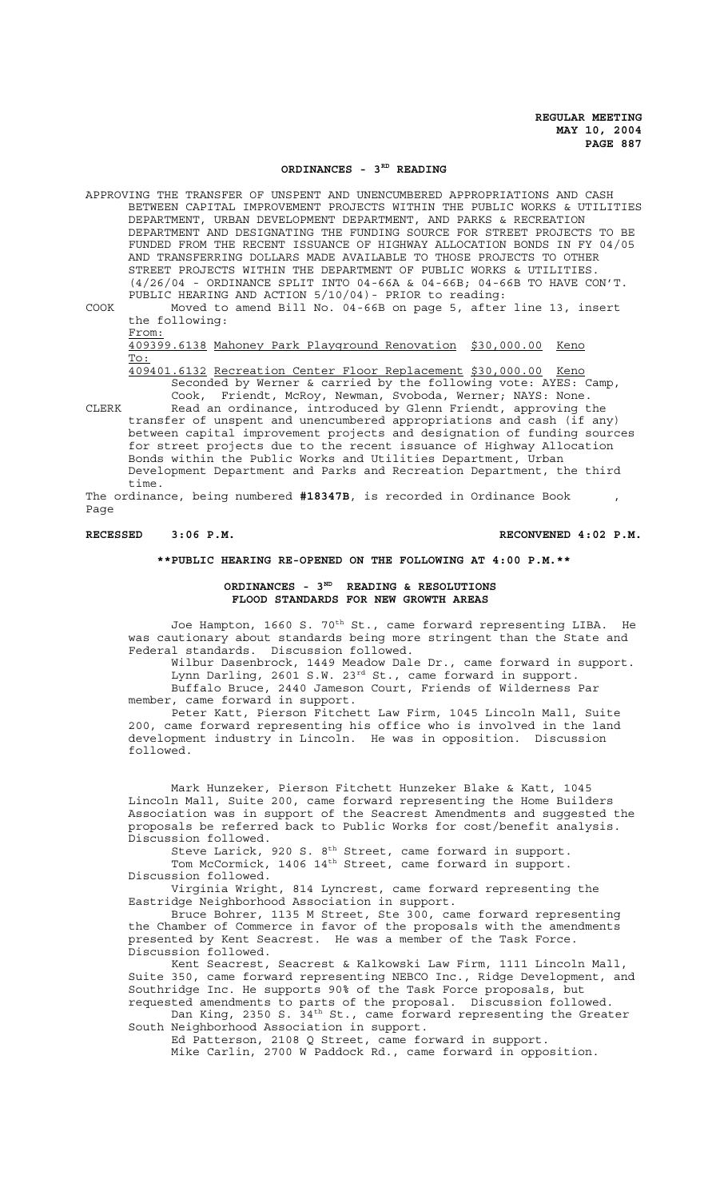#### ORDINANCES - 3<sup>RD</sup> READING

APPROVING THE TRANSFER OF UNSPENT AND UNENCUMBERED APPROPRIATIONS AND CASH BETWEEN CAPITAL IMPROVEMENT PROJECTS WITHIN THE PUBLIC WORKS & UTILITIES DEPARTMENT, URBAN DEVELOPMENT DEPARTMENT, AND PARKS & RECREATION DEPARTMENT AND DESIGNATING THE FUNDING SOURCE FOR STREET PROJECTS TO BE FUNDED FROM THE RECENT ISSUANCE OF HIGHWAY ALLOCATION BONDS IN FY 04/05 AND TRANSFERRING DOLLARS MADE AVAILABLE TO THOSE PROJECTS TO OTHER STREET PROJECTS WITHIN THE DEPARTMENT OF PUBLIC WORKS & UTILITIES. (4/26/04 - ORDINANCE SPLIT INTO 04-66A & 04-66B; 04-66B TO HAVE CON'T. PUBLIC HEARING AND ACTION 5/10/04)- PRIOR to reading:

COOK Moved to amend Bill No. 04-66B on page 5, after line 13, insert the following:

From:

409399.6138 Mahoney Park Playground Renovation \$30,000.00 Keno To:

409401.6132 Recreation Center Floor Replacement \$30,000.00 Keno Seconded by Werner & carried by the following vote: AYES: Camp, Cook, Friendt, McRoy, Newman, Svoboda, Werner; NAYS: None.

CLERK Read an ordinance, introduced by Glenn Friendt, approving the transfer of unspent and unencumbered appropriations and cash (if any) between capital improvement projects and designation of funding sources for street projects due to the recent issuance of Highway Allocation Bonds within the Public Works and Utilities Department, Urban Development Department and Parks and Recreation Department, the third time.

The ordinance, being numbered **#18347B**, is recorded in Ordinance Book , Page

# **RECESSED 3:06 P.M. RECONVENED 4:02 P.M.**

## **\*\*PUBLIC HEARING RE-OPENED ON THE FOLLOWING AT 4:00 P.M.\*\***

# **ORDINANCES - 3ND READING & RESOLUTIONS FLOOD STANDARDS FOR NEW GROWTH AREAS**

Joe Hampton, 1660 S. 70<sup>th</sup> St., came forward representing LIBA. He was cautionary about standards being more stringent than the State and Federal standards. Discussion followed.

Wilbur Dasenbrock, 1449 Meadow Dale Dr., came forward in support. Lynn Darling, 2601 S.W. 23<sup>rd</sup> St., came forward in support. Buffalo Bruce, 2440 Jameson Court, Friends of Wilderness Par member, came forward in support.

Peter Katt, Pierson Fitchett Law Firm, 1045 Lincoln Mall, Suite 200, came forward representing his office who is involved in the land development industry in Lincoln. He was in opposition. Discussion followed.

Mark Hunzeker, Pierson Fitchett Hunzeker Blake & Katt, 1045 Lincoln Mall, Suite 200, came forward representing the Home Builders Association was in support of the Seacrest Amendments and suggested the proposals be referred back to Public Works for cost/benefit analysis. Discussion followed.

Steve Larick, 920 S.  $8<sup>th</sup>$  Street, came forward in support. Tom McCormick, 1406 14<sup>th</sup> Street, came forward in support. Discussion followed.

Virginia Wright, 814 Lyncrest, came forward representing the Eastridge Neighborhood Association in support.

Bruce Bohrer, 1135 M Street, Ste 300, came forward representing the Chamber of Commerce in favor of the proposals with the amendments presented by Kent Seacrest. He was a member of the Task Force. Discussion followed.

Kent Seacrest, Seacrest & Kalkowski Law Firm, 1111 Lincoln Mall, Suite 350, came forward representing NEBCO Inc., Ridge Development, and Southridge Inc. He supports 90% of the Task Force proposals, but requested amendments to parts of the proposal. Discussion followed.

Dan King, 2350 S. 34<sup>th</sup> St., came forward representing the Greater South Neighborhood Association in support.

Ed Patterson, 2108 Q Street, came forward in support. Mike Carlin, 2700 W Paddock Rd., came forward in opposition.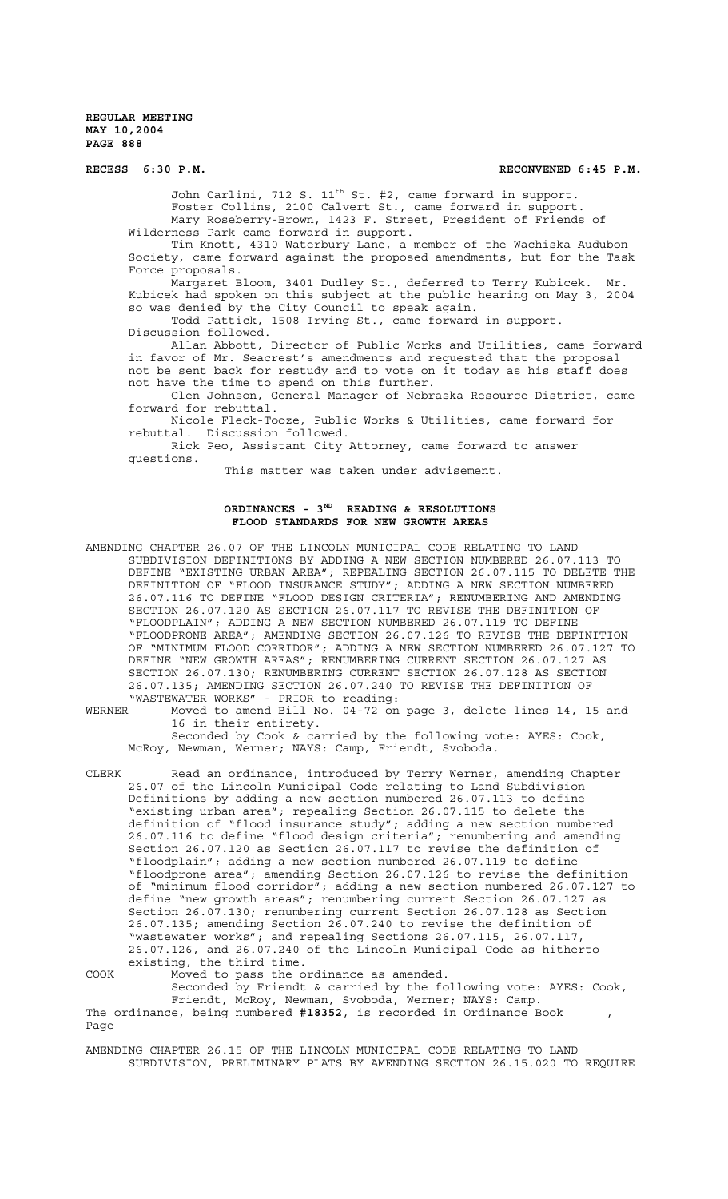RECESS 6:30 P.M. **RECONVENED 6:45 P.M.** 

John Carlini, 712 S. 11<sup>th</sup> St. #2, came forward in support. Foster Collins, 2100 Calvert St., came forward in support. Mary Roseberry-Brown, 1423 F. Street, President of Friends of Wilderness Park came forward in support.

Tim Knott, 4310 Waterbury Lane, a member of the Wachiska Audubon Society, came forward against the proposed amendments, but for the Task Force proposals.

Margaret Bloom, 3401 Dudley St., deferred to Terry Kubicek. Mr. Kubicek had spoken on this subject at the public hearing on May 3, 2004 so was denied by the City Council to speak again.

Todd Pattick, 1508 Irving St., came forward in support. Discussion followed.

Allan Abbott, Director of Public Works and Utilities, came forward in favor of Mr. Seacrest's amendments and requested that the proposal not be sent back for restudy and to vote on it today as his staff does not have the time to spend on this further.

Glen Johnson, General Manager of Nebraska Resource District, came forward for rebuttal.

Nicole Fleck-Tooze, Public Works & Utilities, came forward for rebuttal. Discussion followed.

Rick Peo, Assistant City Attorney, came forward to answer questions.

This matter was taken under advisement.

# ORDINANCES - 3<sup>ND</sup> READING & RESOLUTIONS **FLOOD STANDARDS FOR NEW GROWTH AREAS**

AMENDING CHAPTER 26.07 OF THE LINCOLN MUNICIPAL CODE RELATING TO LAND SUBDIVISION DEFINITIONS BY ADDING A NEW SECTION NUMBERED 26.07.113 TO DEFINE "EXISTING URBAN AREA"; REPEALING SECTION 26.07.115 TO DELETE THE DEFINITION OF "FLOOD INSURANCE STUDY"; ADDING A NEW SECTION NUMBERED 26.07.116 TO DEFINE "FLOOD DESIGN CRITERIA"; RENUMBERING AND AMENDING SECTION 26.07.120 AS SECTION 26.07.117 TO REVISE THE DEFINITION OF "FLOODPLAIN"; ADDING A NEW SECTION NUMBERED 26.07.119 TO DEFINE "FLOODPRONE AREA"; AMENDING SECTION 26.07.126 TO REVISE THE DEFINITION OF "MINIMUM FLOOD CORRIDOR"; ADDING A NEW SECTION NUMBERED 26.07.127 TO DEFINE "NEW GROWTH AREAS"; RENUMBERING CURRENT SECTION 26.07.127 AS SECTION 26.07.130; RENUMBERING CURRENT SECTION 26.07.128 AS SECTION 26.07.135; AMENDING SECTION 26.07.240 TO REVISE THE DEFINITION OF "WASTEWATER WORKS" - PRIOR to reading:<br>WERNER Moved to amend Bill No. 04-72 on

Moved to amend Bill No. 04-72 on page 3, delete lines 14, 15 and 16 in their entirety. Seconded by Cook & carried by the following vote: AYES: Cook,

McRoy, Newman, Werner; NAYS: Camp, Friendt, Svoboda.

CLERK Read an ordinance, introduced by Terry Werner, amending Chapter 26.07 of the Lincoln Municipal Code relating to Land Subdivision Definitions by adding a new section numbered 26.07.113 to define "existing urban area"; repealing Section 26.07.115 to delete the definition of "flood insurance study"; adding a new section numbered 26.07.116 to define "flood design criteria"; renumbering and amending Section 26.07.120 as Section 26.07.117 to revise the definition of "floodplain"; adding a new section numbered 26.07.119 to define "floodprone area"; amending Section 26.07.126 to revise the definition of "minimum flood corridor"; adding a new section numbered 26.07.127 to define "new growth areas"; renumbering current Section 26.07.127 as Section 26.07.130; renumbering current Section 26.07.128 as Section 26.07.135; amending Section 26.07.240 to revise the definition of "wastewater works"; and repealing Sections 26.07.115, 26.07.117, 26.07.126, and 26.07.240 of the Lincoln Municipal Code as hitherto existing, the third time. COOK Moved to pass the ordinance as amended.

Seconded by Friendt & carried by the following vote: AYES: Cook, Friendt, McRoy, Newman, Svoboda, Werner; NAYS: Camp.

The ordinance, being numbered #18352, is recorded in Ordinance Book , Page

AMENDING CHAPTER 26.15 OF THE LINCOLN MUNICIPAL CODE RELATING TO LAND SUBDIVISION, PRELIMINARY PLATS BY AMENDING SECTION 26.15.020 TO REQUIRE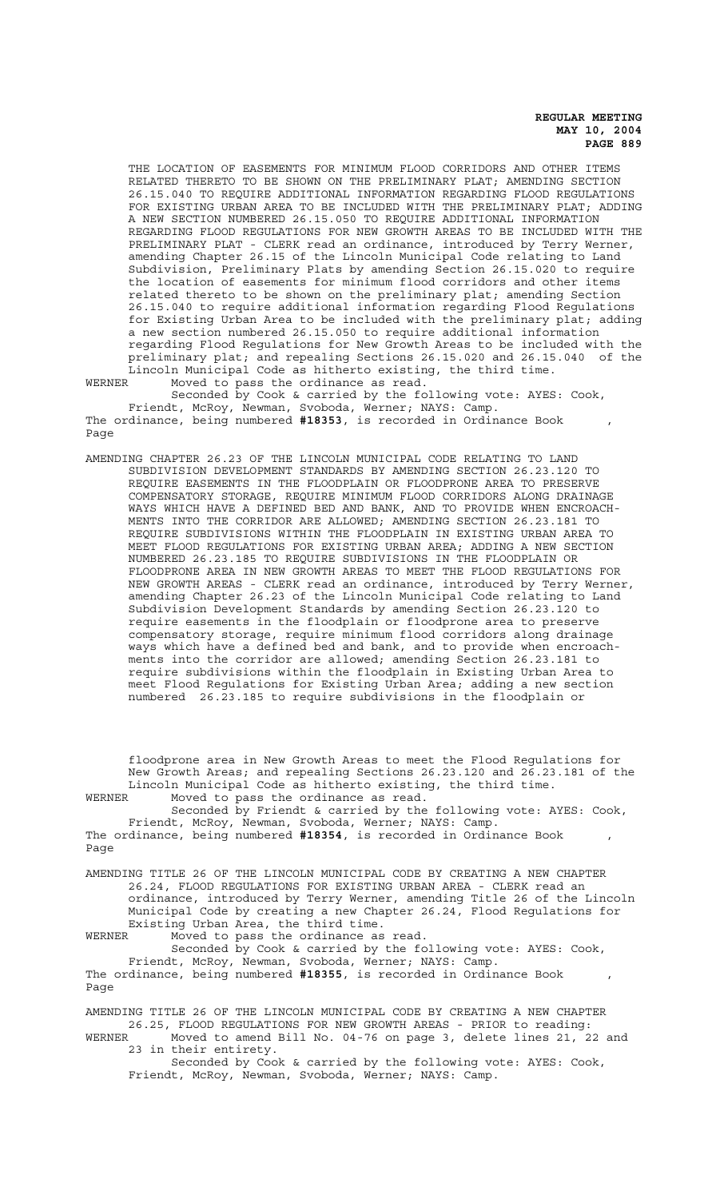THE LOCATION OF EASEMENTS FOR MINIMUM FLOOD CORRIDORS AND OTHER ITEMS RELATED THERETO TO BE SHOWN ON THE PRELIMINARY PLAT; AMENDING SECTION 26.15.040 TO REQUIRE ADDITIONAL INFORMATION REGARDING FLOOD REGULATIONS FOR EXISTING URBAN AREA TO BE INCLUDED WITH THE PRELIMINARY PLAT; ADDING A NEW SECTION NUMBERED 26.15.050 TO REQUIRE ADDITIONAL INFORMATION REGARDING FLOOD REGULATIONS FOR NEW GROWTH AREAS TO BE INCLUDED WITH THE PRELIMINARY PLAT - CLERK read an ordinance, introduced by Terry Werner, amending Chapter 26.15 of the Lincoln Municipal Code relating to Land Subdivision, Preliminary Plats by amending Section 26.15.020 to require the location of easements for minimum flood corridors and other items related thereto to be shown on the preliminary plat; amending Section 26.15.040 to require additional information regarding Flood Regulations for Existing Urban Area to be included with the preliminary plat; adding a new section numbered 26.15.050 to require additional information regarding Flood Regulations for New Growth Areas to be included with the preliminary plat; and repealing Sections 26.15.020 and 26.15.040 of the Lincoln Municipal Code as hitherto existing, the third time.

WERNER Moved to pass the ordinance as read. Seconded by Cook & carried by the following vote: AYES: Cook, Friendt, McRoy, Newman, Svoboda, Werner; NAYS: Camp. The ordinance, being numbered #18353, is recorded in Ordinance Book , Page

AMENDING CHAPTER 26.23 OF THE LINCOLN MUNICIPAL CODE RELATING TO LAND SUBDIVISION DEVELOPMENT STANDARDS BY AMENDING SECTION 26.23.120 TO REQUIRE EASEMENTS IN THE FLOODPLAIN OR FLOODPRONE AREA TO PRESERVE COMPENSATORY STORAGE, REQUIRE MINIMUM FLOOD CORRIDORS ALONG DRAINAGE WAYS WHICH HAVE A DEFINED BED AND BANK, AND TO PROVIDE WHEN ENCROACH-MENTS INTO THE CORRIDOR ARE ALLOWED; AMENDING SECTION 26.23.181 TO REQUIRE SUBDIVISIONS WITHIN THE FLOODPLAIN IN EXISTING URBAN AREA TO MEET FLOOD REGULATIONS FOR EXISTING URBAN AREA; ADDING A NEW SECTION NUMBERED 26.23.185 TO REQUIRE SUBDIVISIONS IN THE FLOODPLAIN OR FLOODPRONE AREA IN NEW GROWTH AREAS TO MEET THE FLOOD REGULATIONS FOR NEW GROWTH AREAS - CLERK read an ordinance, introduced by Terry Werner, amending Chapter 26.23 of the Lincoln Municipal Code relating to Land Subdivision Development Standards by amending Section 26.23.120 to require easements in the floodplain or floodprone area to preserve compensatory storage, require minimum flood corridors along drainage ways which have a defined bed and bank, and to provide when encroachments into the corridor are allowed; amending Section 26.23.181 to require subdivisions within the floodplain in Existing Urban Area to meet Flood Regulations for Existing Urban Area; adding a new section numbered 26.23.185 to require subdivisions in the floodplain or

floodprone area in New Growth Areas to meet the Flood Regulations for New Growth Areas; and repealing Sections 26.23.120 and 26.23.181 of the Lincoln Municipal Code as hitherto existing, the third time. WERNER Moved to pass the ordinance as read.

Seconded by Friendt & carried by the following vote: AYES: Cook, Friendt, McRoy, Newman, Svoboda, Werner; NAYS: Camp. The ordinance, being numbered **#18354**, is recorded in Ordinance Book , Page

AMENDING TITLE 26 OF THE LINCOLN MUNICIPAL CODE BY CREATING A NEW CHAPTER 26.24, FLOOD REGULATIONS FOR EXISTING URBAN AREA - CLERK read an ordinance, introduced by Terry Werner, amending Title 26 of the Lincoln Municipal Code by creating a new Chapter 26.24, Flood Regulations for Existing Urban Area, the third time.<br>WERNER Moved to pass the ordinance as WERNER Moved to pass the ordinance as read.

Seconded by Cook & carried by the following vote: AYES: Cook, Friendt, McRoy, Newman, Svoboda, Werner; NAYS: Camp. The ordinance, being numbered #18355, is recorded in Ordinance Book , Page

AMENDING TITLE 26 OF THE LINCOLN MUNICIPAL CODE BY CREATING A NEW CHAPTER 26.25, FLOOD REGULATIONS FOR NEW GROWTH AREAS - PRIOR to reading: WERNER Moved to amend Bill No. 04-76 on page 3, delete lines 21, 22 and 23 in their entirety. Seconded by Cook & carried by the following vote: AYES: Cook,

Friendt, McRoy, Newman, Svoboda, Werner; NAYS: Camp.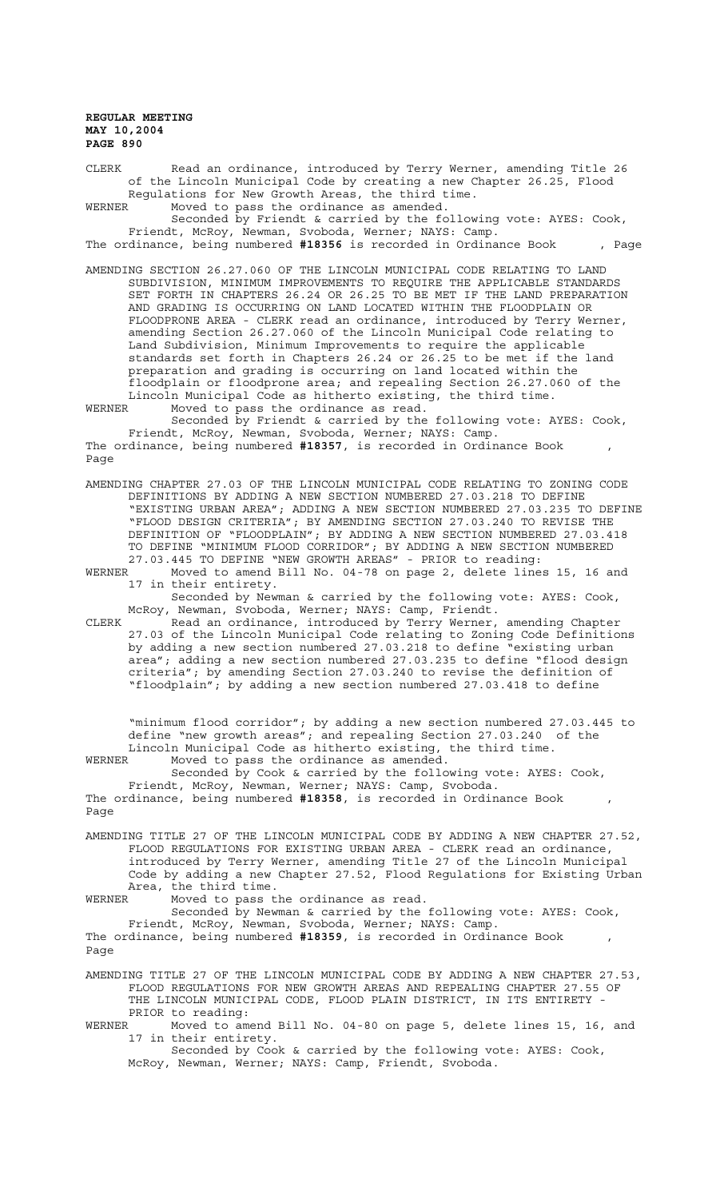CLERK Read an ordinance, introduced by Terry Werner, amending Title 26 of the Lincoln Municipal Code by creating a new Chapter 26.25, Flood Regulations for New Growth Areas, the third time.<br>WERNER Moved to pass the ordinance as amended. Moved to pass the ordinance as amended.

Seconded by Friendt & carried by the following vote: AYES: Cook, Friendt, McRoy, Newman, Svoboda, Werner; NAYS: Camp. The ordinance, being numbered **#18356** is recorded in Ordinance Book , Page

AMENDING SECTION 26.27.060 OF THE LINCOLN MUNICIPAL CODE RELATING TO LAND SUBDIVISION, MINIMUM IMPROVEMENTS TO REQUIRE THE APPLICABLE STANDARDS SET FORTH IN CHAPTERS 26.24 OR 26.25 TO BE MET IF THE LAND PREPARATION AND GRADING IS OCCURRING ON LAND LOCATED WITHIN THE FLOODPLAIN OR FLOODPRONE AREA - CLERK read an ordinance, introduced by Terry Werner, amending Section 26.27.060 of the Lincoln Municipal Code relating to Land Subdivision, Minimum Improvements to require the applicable standards set forth in Chapters 26.24 or 26.25 to be met if the land preparation and grading is occurring on land located within the floodplain or floodprone area; and repealing Section 26.27.060 of the Lincoln Municipal Code as hitherto existing, the third time.<br>WERNER Moved to pass the ordinance as read.

WERNER Moved to pass the ordinance as read. Seconded by Friendt & carried by the following vote: AYES: Cook, Friendt, McRoy, Newman, Svoboda, Werner; NAYS: Camp. The ordinance, being numbered #18357, is recorded in Ordinance Book , Page

AMENDING CHAPTER 27.03 OF THE LINCOLN MUNICIPAL CODE RELATING TO ZONING CODE DEFINITIONS BY ADDING A NEW SECTION NUMBERED 27.03.218 TO DEFINE "EXISTING URBAN AREA"; ADDING A NEW SECTION NUMBERED 27.03.235 TO DEFINE "FLOOD DESIGN CRITERIA"; BY AMENDING SECTION 27.03.240 TO REVISE THE DEFINITION OF "FLOODPLAIN"; BY ADDING A NEW SECTION NUMBERED 27.03.418 TO DEFINE "MINIMUM FLOOD CORRIDOR"; BY ADDING A NEW SECTION NUMBERED 27.03.445 TO DEFINE "NEW GROWTH AREAS" - PRIOR to reading:

WERNER Moved to amend Bill No. 04-78 on page 2, delete lines 15, 16 and 17 in their entirety.

Seconded by Newman & carried by the following vote: AYES: Cook, McRoy, Newman, Svoboda, Werner; NAYS: Camp, Friendt.

CLERK Read an ordinance, introduced by Terry Werner, amending Chapter 27.03 of the Lincoln Municipal Code relating to Zoning Code Definitions by adding a new section numbered 27.03.218 to define "existing urban area"; adding a new section numbered 27.03.235 to define "flood design criteria"; by amending Section 27.03.240 to revise the definition of "floodplain"; by adding a new section numbered 27.03.418 to define

"minimum flood corridor"; by adding a new section numbered 27.03.445 to define "new growth areas"; and repealing Section 27.03.240 of the Lincoln Municipal Code as hitherto existing, the third time.<br>WERNER Moved to pass the ordinance as amended Moved to pass the ordinance as amended.

Seconded by Cook & carried by the following vote: AYES: Cook, Friendt, McRoy, Newman, Werner; NAYS: Camp, Svoboda. The ordinance, being numbered **#18358**, is recorded in Ordinance Book , Page

AMENDING TITLE 27 OF THE LINCOLN MUNICIPAL CODE BY ADDING A NEW CHAPTER 27.52, FLOOD REGULATIONS FOR EXISTING URBAN AREA - CLERK read an ordinance, introduced by Terry Werner, amending Title 27 of the Lincoln Municipal Code by adding a new Chapter 27.52, Flood Regulations for Existing Urban Area, the third time.

WERNER Moved to pass the ordinance as read.

Seconded by Newman & carried by the following vote: AYES: Cook, Friendt, McRoy, Newman, Svoboda, Werner; NAYS: Camp. The ordinance, being numbered **#18359**, is recorded in Ordinance Book ,

Page

AMENDING TITLE 27 OF THE LINCOLN MUNICIPAL CODE BY ADDING A NEW CHAPTER 27.53, FLOOD REGULATIONS FOR NEW GROWTH AREAS AND REPEALING CHAPTER 27.55 OF THE LINCOLN MUNICIPAL CODE, FLOOD PLAIN DISTRICT, IN ITS ENTIRETY PRIOR to reading:

WERNER Moved to amend Bill No. 04-80 on page 5, delete lines 15, 16, and 17 in their entirety.

Seconded by Cook & carried by the following vote: AYES: Cook, McRoy, Newman, Werner; NAYS: Camp, Friendt, Svoboda.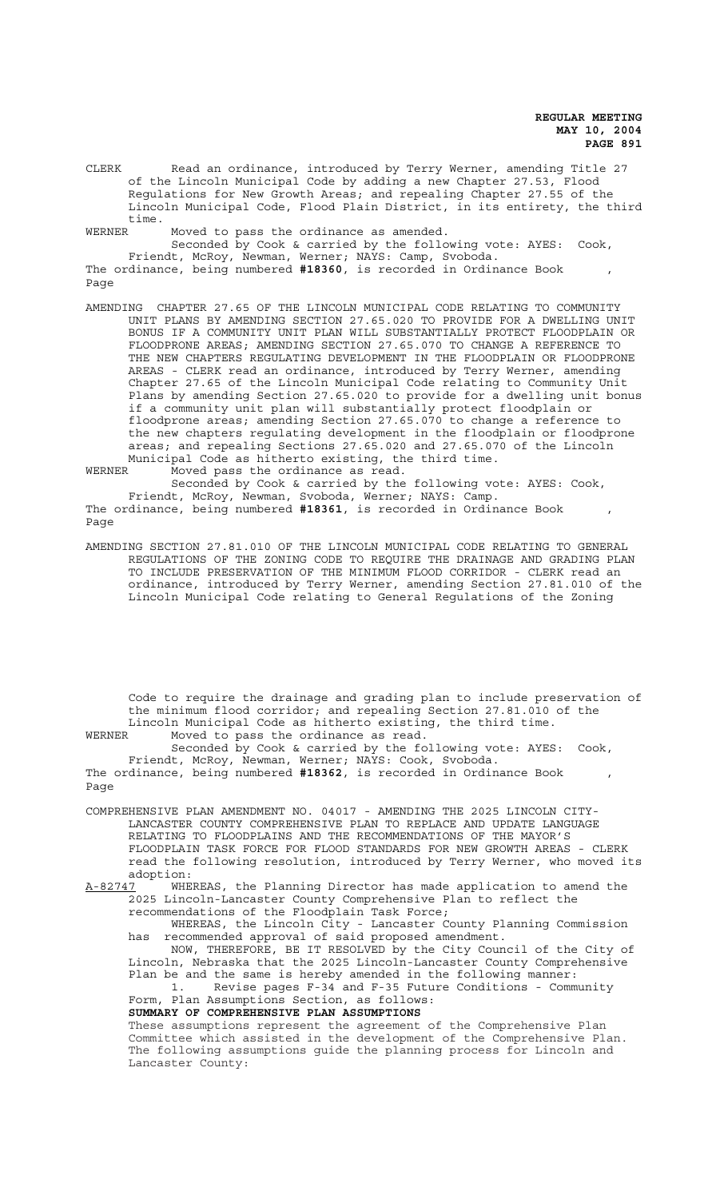CLERK Read an ordinance, introduced by Terry Werner, amending Title 27 of the Lincoln Municipal Code by adding a new Chapter 27.53, Flood Regulations for New Growth Areas; and repealing Chapter 27.55 of the Lincoln Municipal Code, Flood Plain District, in its entirety, the third time.

WERNER Moved to pass the ordinance as amended.

Seconded by Cook & carried by the following vote: AYES: Cook, Friendt, McRoy, Newman, Werner; NAYS: Camp, Svoboda. The ordinance, being numbered **#18360**, is recorded in Ordinance Book , Page

AMENDING CHAPTER 27.65 OF THE LINCOLN MUNICIPAL CODE RELATING TO COMMUNITY UNIT PLANS BY AMENDING SECTION 27.65.020 TO PROVIDE FOR A DWELLING UNIT BONUS IF A COMMUNITY UNIT PLAN WILL SUBSTANTIALLY PROTECT FLOODPLAIN OR FLOODPRONE AREAS; AMENDING SECTION 27.65.070 TO CHANGE A REFERENCE TO THE NEW CHAPTERS REGULATING DEVELOPMENT IN THE FLOODPLAIN OR FLOODPRONE AREAS - CLERK read an ordinance, introduced by Terry Werner, amending Chapter 27.65 of the Lincoln Municipal Code relating to Community Unit Plans by amending Section 27.65.020 to provide for a dwelling unit bonus if a community unit plan will substantially protect floodplain or floodprone areas; amending Section 27.65.070 to change a reference to the new chapters regulating development in the floodplain or floodprone areas; and repealing Sections 27.65.020 and 27.65.070 of the Lincoln Municipal Code as hitherto existing, the third time.<br>WERNER Moved pass the ordinance as read.

Moved pass the ordinance as read.

Page

Seconded by Cook & carried by the following vote: AYES: Cook, Friendt, McRoy, Newman, Svoboda, Werner; NAYS: Camp. The ordinance, being numbered #18361, is recorded in Ordinance Book ,

AMENDING SECTION 27.81.010 OF THE LINCOLN MUNICIPAL CODE RELATING TO GENERAL REGULATIONS OF THE ZONING CODE TO REQUIRE THE DRAINAGE AND GRADING PLAN TO INCLUDE PRESERVATION OF THE MINIMUM FLOOD CORRIDOR - CLERK read an ordinance, introduced by Terry Werner, amending Section 27.81.010 of the Lincoln Municipal Code relating to General Regulations of the Zoning

Code to require the drainage and grading plan to include preservation of the minimum flood corridor; and repealing Section 27.81.010 of the Lincoln Municipal Code as hitherto existing, the third time. WERNER Moved to pass the ordinance as read.

Seconded by Cook & carried by the following vote: AYES: Cook, Friendt, McRoy, Newman, Werner; NAYS: Cook, Svoboda.

The ordinance, being numbered **#18362**, is recorded in Ordinance Book , Page

COMPREHENSIVE PLAN AMENDMENT NO. 04017 - AMENDING THE 2025 LINCOLN CITY-LANCASTER COUNTY COMPREHENSIVE PLAN TO REPLACE AND UPDATE LANGUAGE RELATING TO FLOODPLAINS AND THE RECOMMENDATIONS OF THE MAYOR'S FLOODPLAIN TASK FORCE FOR FLOOD STANDARDS FOR NEW GROWTH AREAS - CLERK read the following resolution, introduced by Terry Werner, who moved its adoption:

A-82747 WHEREAS, the Planning Director has made application to amend the 2025 Lincoln-Lancaster County Comprehensive Plan to reflect the recommendations of the Floodplain Task Force;

WHEREAS, the Lincoln City - Lancaster County Planning Commission has recommended approval of said proposed amendment.

NOW, THEREFORE, BE IT RESOLVED by the City Council of the City of Lincoln, Nebraska that the 2025 Lincoln-Lancaster County Comprehensive Plan be and the same is hereby amended in the following manner:

1. Revise pages F-34 and F-35 Future Conditions - Community Form, Plan Assumptions Section, as follows:

**SUMMARY OF COMPREHENSIVE PLAN ASSUMPTIONS**

These assumptions represent the agreement of the Comprehensive Plan Committee which assisted in the development of the Comprehensive Plan. The following assumptions guide the planning process for Lincoln and Lancaster County: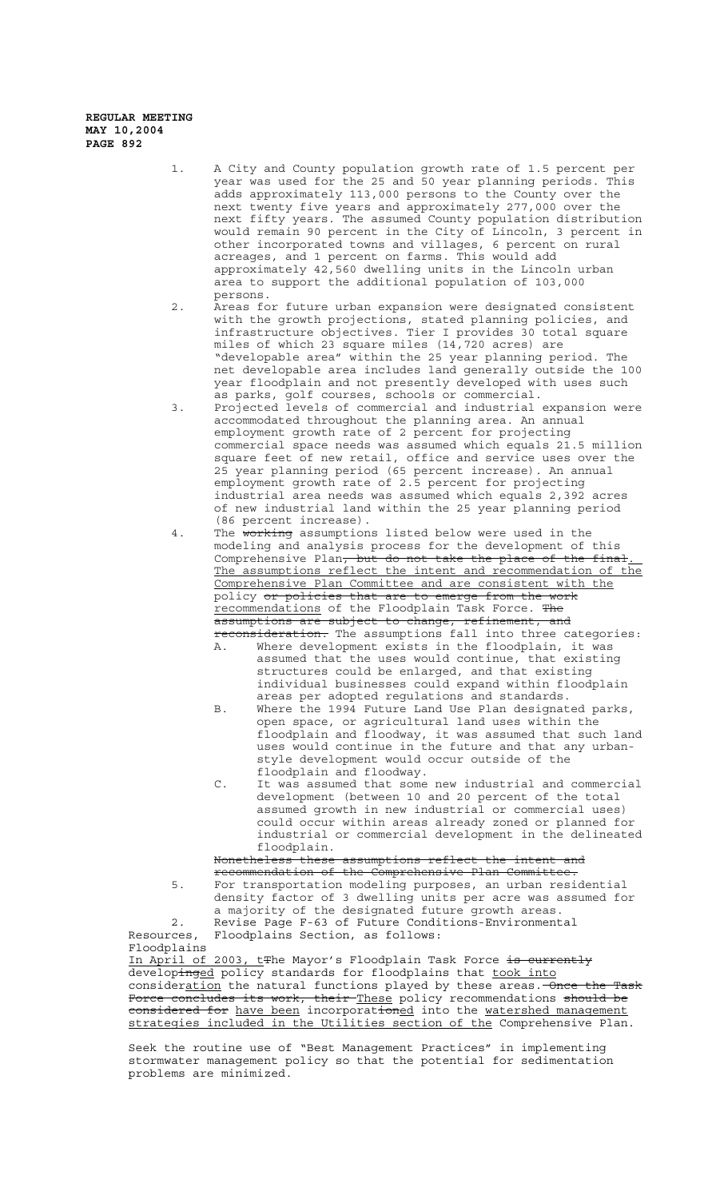- 1. A City and County population growth rate of 1.5 percent per year was used for the 25 and 50 year planning periods. This adds approximately 113,000 persons to the County over the next twenty five years and approximately 277,000 over the next fifty years. The assumed County population distribution would remain 90 percent in the City of Lincoln, 3 percent in other incorporated towns and villages, 6 percent on rural acreages, and 1 percent on farms. This would add approximately 42,560 dwelling units in the Lincoln urban area to support the additional population of 103,000 persons.
- 2. Areas for future urban expansion were designated consistent with the growth projections, stated planning policies, and infrastructure objectives. Tier I provides 30 total square miles of which 23 square miles (14,720 acres) are "developable area" within the 25 year planning period. The net developable area includes land generally outside the 100 year floodplain and not presently developed with uses such as parks, golf courses, schools or commercial.
- 3. Projected levels of commercial and industrial expansion were accommodated throughout the planning area. An annual employment growth rate of 2 percent for projecting commercial space needs was assumed which equals 21.5 million square feet of new retail, office and service uses over the 25 year planning period (65 percent increase). An annual employment growth rate of 2.5 percent for projecting industrial area needs was assumed which equals 2,392 acres of new industrial land within the 25 year planning period (86 percent increase).
- 4. The working assumptions listed below were used in the modeling and analysis process for the development of this Comprehensive Plan<del>, but do not take the place of the final</del>. The assumptions reflect the intent and recommendation of the Comprehensive Plan Committee and are consistent with the policy or policies that are to emerge from the work recommendations of the Floodplain Task Force. The
	- assumptions are subject to change, refinement, and reconsideration. The assumptions fall into three categories: A. Where development exists in the floodplain, it was assumed that the uses would continue, that existing structures could be enlarged, and that existing individual businesses could expand within floodplain areas per adopted regulations and standards.
	- B. Where the 1994 Future Land Use Plan designated parks, open space, or agricultural land uses within the floodplain and floodway, it was assumed that such land uses would continue in the future and that any urbanstyle development would occur outside of the floodplain and floodway.
	- C. It was assumed that some new industrial and commercial development (between 10 and 20 percent of the total assumed growth in new industrial or commercial uses) could occur within areas already zoned or planned for industrial or commercial development in the delineated floodplain.<br>Nonetheless these

```
assumptions reflect the intent and
```
recommendation of the Comprehensive Plan Committee. 5. For transportation modeling purposes, an urban residential density factor of 3 dwelling units per acre was assumed for a majority of the designated future growth areas. 2. Revise Page F-63 of Future Conditions-Environmental Resources, Floodplains Section, as follows:

Floodplains In April of 2003, tthe Mayor's Floodplain Task Force is currently developinged policy standards for floodplains that took into consideration the natural functions played by these areas. Once the Task Force concludes its work, their These policy recommendations <del>should be</del> considered for have been incorporat<del>ion</del>ed into the <u>watershed management</u> strategies included in the Utilities section of the Comprehensive Plan.

Seek the routine use of "Best Management Practices" in implementing stormwater management policy so that the potential for sedimentation problems are minimized.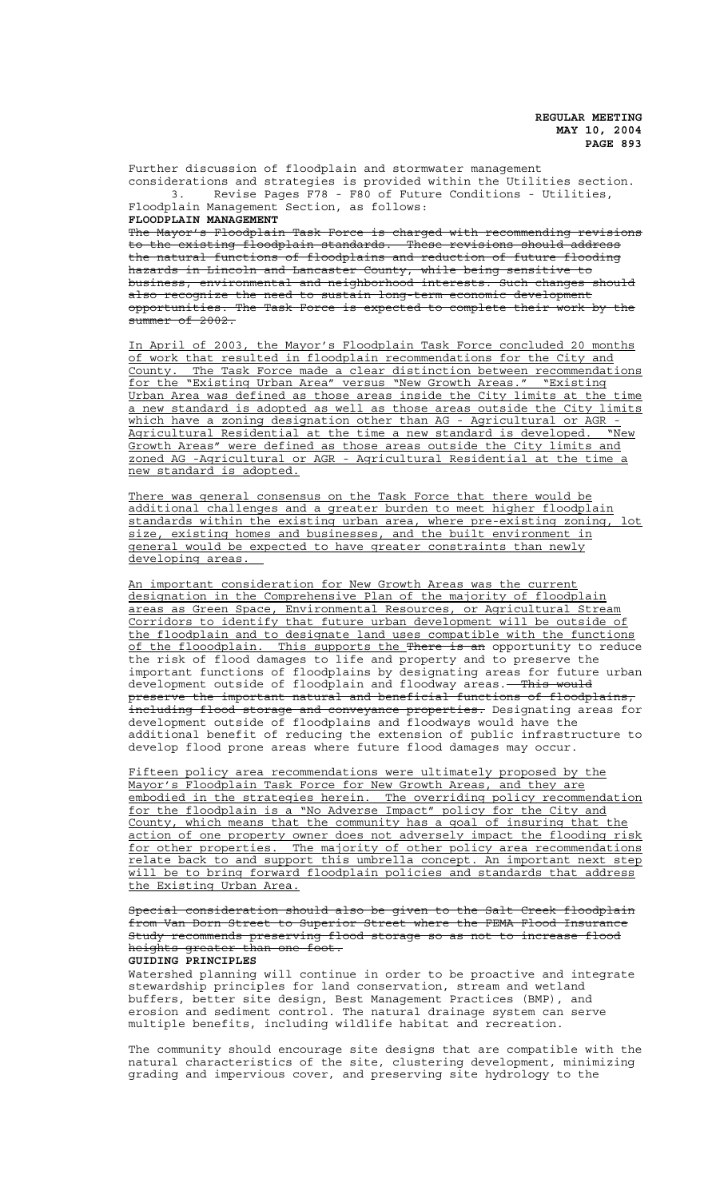Further discussion of floodplain and stormwater management considerations and strategies is provided within the Utilities section. 3. Revise Pages F78 - F80 of Future Conditions - Utilities, Floodplain Management Section, as follows: **FLOODPLAIN MANAGEMENT**

The Mayor's Floodplain Task Force is charged with recommending revisions to the existing floodplain standards. These revisions should address the natural functions of floodplains and reduction of future flooding hazards in Lincoln and Lancaster County, while being sensitive to business, environmental and neighborhood interests. Such changes should also recognize the need to sustain long-term economic development

opportunities. The Task Force is expected to complete their work by the  $\frac{1}{\text{symmer of } 2002}$ .

In April of 2003, the Mayor's Floodplain Task Force concluded 20 months of work that resulted in floodplain recommendations for the City and County. The Task Force made a clear distinction between recommendations for the "Existing Urban Area" versus "New Growth Areas." "Existing Urban Area was defined as those areas inside the City limits at the time a new standard is adopted as well as those areas outside the City limits which have a zoning designation other than AG - Agricultural or AGR -Agricultural Residential at the time a new standard is developed. "New Growth Areas" were defined as those areas outside the City limits and zoned AG -Agricultural or AGR - Agricultural Residential at the time a new standard is adopted.

There was general consensus on the Task Force that there would be additional challenges and a greater burden to meet higher floodplain standards within the existing urban area, where pre-existing zoning, lot size, existing homes and businesses, and the built environment in general would be expected to have greater constraints than newly developing areas.

An important consideration for New Growth Areas was the current designation in the Comprehensive Plan of the majority of floodplain areas as Green Space, Environmental Resources, or Agricultural Stream Corridors to identify that future urban development will be outside of the floodplain and to designate land uses compatible with the functions of the flooodplain. This supports the There is an opportunity to reduce the risk of flood damages to life and property and to preserve the important functions of floodplains by designating areas for future urban development outside of floodplain and floodway areas.<del> This would</del> preserve the important natural and beneficial functions of floodplains, in<del>cluding flood storage and conveyance properties.</del> Designating areas for development outside of floodplains and floodways would have the additional benefit of reducing the extension of public infrastructure to develop flood prone areas where future flood damages may occur.

Fifteen policy area recommendations were ultimately proposed by the Mayor's Floodplain Task Force for New Growth Areas, and they are embodied in the strategies herein. The overriding policy recommendation for the floodplain is a "No Adverse Impact" policy for the City and County, which means that the community has a goal of insuring that the action of one property owner does not adversely impact the flooding risk for other properties. The majority of other policy area recommendations relate back to and support this umbrella concept. An important next step will be to bring forward floodplain policies and standards that address the Existing Urban Area.

Special consideration should also be given to the Salt Creek floodplain from Van Dorn Street to Superior Street where the FEMA Flood Insurance Study recommends preserving flood storage so as not to increase flood heights greater than one foot. **GUIDING PRINCIPLES**

Watershed planning will continue in order to be proactive and integrate stewardship principles for land conservation, stream and wetland buffers, better site design, Best Management Practices (BMP), and erosion and sediment control. The natural drainage system can serve multiple benefits, including wildlife habitat and recreation.

The community should encourage site designs that are compatible with the natural characteristics of the site, clustering development, minimizing grading and impervious cover, and preserving site hydrology to the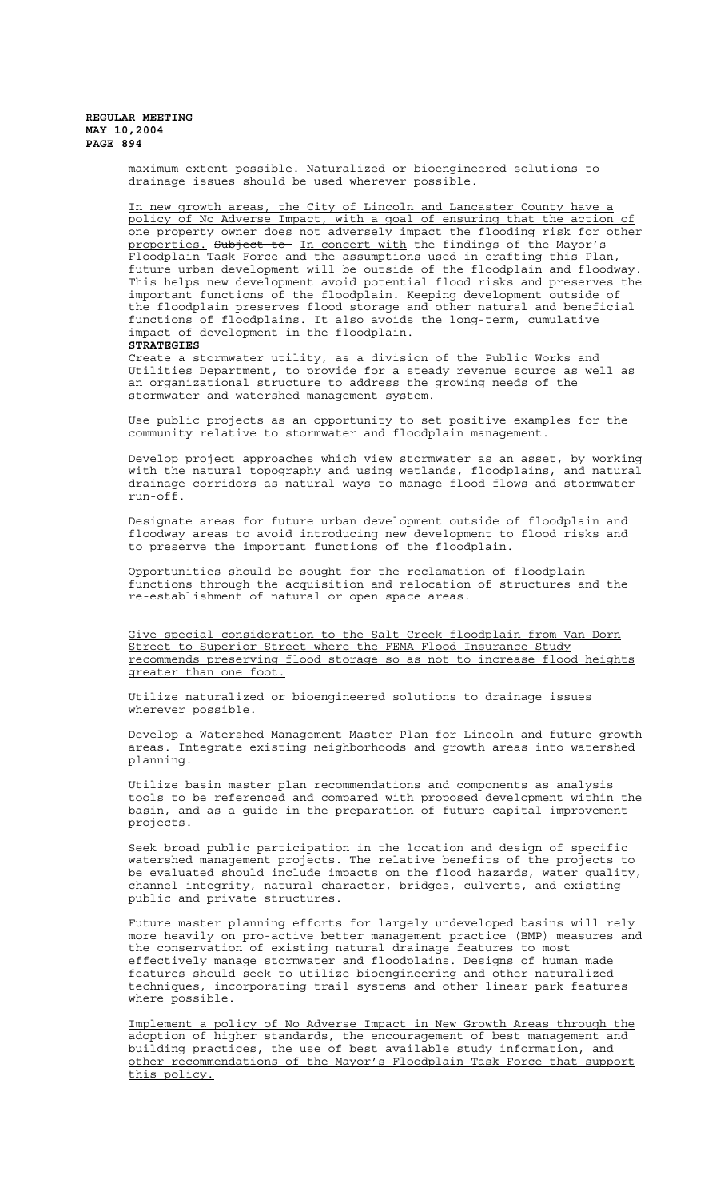maximum extent possible. Naturalized or bioengineered solutions to drainage issues should be used wherever possible.

In new growth areas, the City of Lincoln and Lancaster County have a policy of No Adverse Impact, with a goal of ensuring that the action of one property owner does not adversely impact the flooding risk for other properties. Subject to In concert with the findings of the Mayor's Floodplain Task Force and the assumptions used in crafting this Plan, future urban development will be outside of the floodplain and floodway. This helps new development avoid potential flood risks and preserves the important functions of the floodplain. Keeping development outside of the floodplain preserves flood storage and other natural and beneficial functions of floodplains. It also avoids the long-term, cumulative impact of development in the floodplain. **STRATEGIES**

Create a stormwater utility, as a division of the Public Works and Utilities Department, to provide for a steady revenue source as well as an organizational structure to address the growing needs of the stormwater and watershed management system.

Use public projects as an opportunity to set positive examples for the community relative to stormwater and floodplain management.

Develop project approaches which view stormwater as an asset, by working with the natural topography and using wetlands, floodplains, and natural drainage corridors as natural ways to manage flood flows and stormwater run-off.

Designate areas for future urban development outside of floodplain and floodway areas to avoid introducing new development to flood risks and to preserve the important functions of the floodplain.

Opportunities should be sought for the reclamation of floodplain functions through the acquisition and relocation of structures and the re-establishment of natural or open space areas.

Give special consideration to the Salt Creek floodplain from Van Dorn Street to Superior Street where the FEMA Flood Insurance Study recommends preserving flood storage so as not to increase flood heights greater than one foot.

Utilize naturalized or bioengineered solutions to drainage issues wherever possible.

Develop a Watershed Management Master Plan for Lincoln and future growth areas. Integrate existing neighborhoods and growth areas into watershed planning.

Utilize basin master plan recommendations and components as analysis tools to be referenced and compared with proposed development within the basin, and as a guide in the preparation of future capital improvement projects.

Seek broad public participation in the location and design of specific watershed management projects. The relative benefits of the projects to be evaluated should include impacts on the flood hazards, water quality, channel integrity, natural character, bridges, culverts, and existing public and private structures.

Future master planning efforts for largely undeveloped basins will rely more heavily on pro-active better management practice (BMP) measures and the conservation of existing natural drainage features to most effectively manage stormwater and floodplains. Designs of human made features should seek to utilize bioengineering and other naturalized techniques, incorporating trail systems and other linear park features where possible.

Implement a policy of No Adverse Impact in New Growth Areas through the adoption of higher standards, the encouragement of best management and building practices, the use of best available study information, and other recommendations of the Mayor's Floodplain Task Force that support this policy.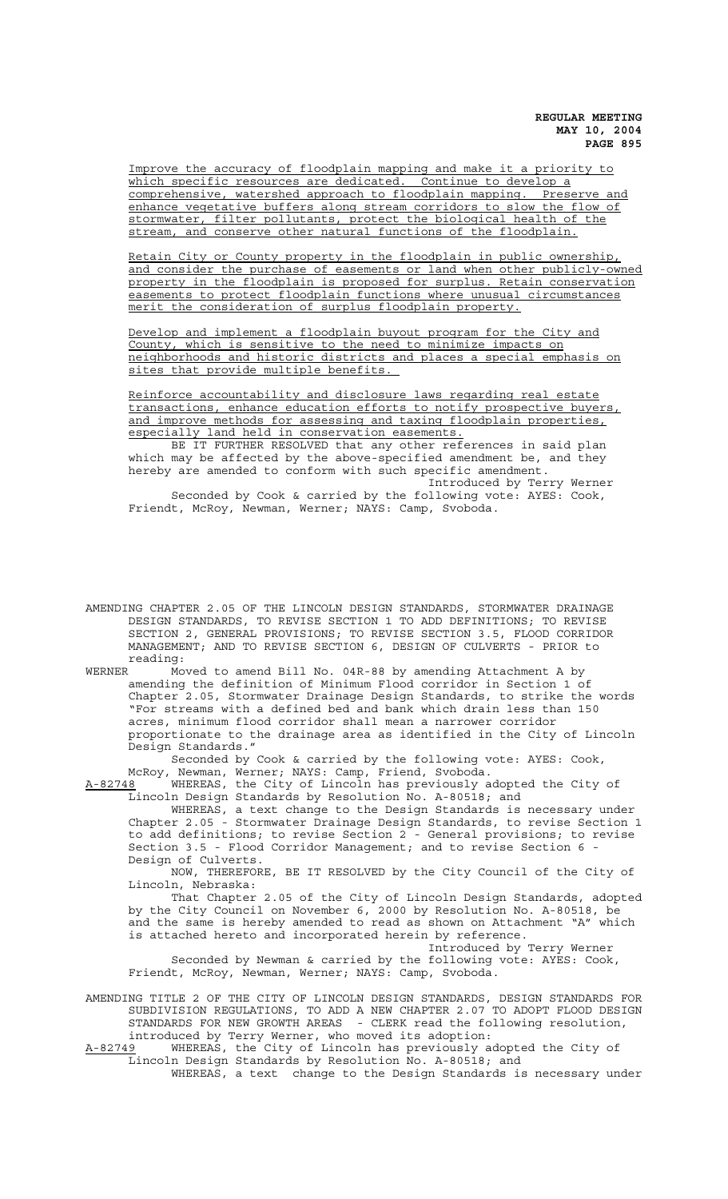Improve the accuracy of floodplain mapping and make it a priority to which specific resources are dedicated. Continue to develop a comprehensive, watershed approach to floodplain mapping. Preserve and enhance vegetative buffers along stream corridors to slow the flow of stormwater, filter pollutants, protect the biological health of the stream, and conserve other natural functions of the floodplain.

Retain City or County property in the floodplain in public ownership, and consider the purchase of easements or land when other publicly-owned property in the floodplain is proposed for surplus. Retain conservation easements to protect floodplain functions where unusual circumstances merit the consideration of surplus floodplain property.

Develop and implement a floodplain buyout program for the City and County, which is sensitive to the need to minimize impacts on neighborhoods and historic districts and places a special emphasis on sites that provide multiple benefits.

Reinforce accountability and disclosure laws regarding real estate transactions, enhance education efforts to notify prospective buyers, and improve methods for assessing and taxing floodplain properties, especially land held in conservation easements.

BE IT FURTHER RESOLVED that any other references in said plan which may be affected by the above-specified amendment be, and they hereby are amended to conform with such specific amendment.

Introduced by Terry Werner Seconded by Cook & carried by the following vote: AYES: Cook, Friendt, McRoy, Newman, Werner; NAYS: Camp, Svoboda.

AMENDING CHAPTER 2.05 OF THE LINCOLN DESIGN STANDARDS, STORMWATER DRAINAGE DESIGN STANDARDS, TO REVISE SECTION 1 TO ADD DEFINITIONS; TO REVISE SECTION 2, GENERAL PROVISIONS; TO REVISE SECTION 3.5, FLOOD CORRIDOR MANAGEMENT; AND TO REVISE SECTION 6, DESIGN OF CULVERTS - PRIOR to reading:

WERNER Moved to amend Bill No. 04R-88 by amending Attachment A by amending the definition of Minimum Flood corridor in Section 1 of Chapter 2.05, Stormwater Drainage Design Standards, to strike the words "For streams with a defined bed and bank which drain less than 150 acres, minimum flood corridor shall mean a narrower corridor proportionate to the drainage area as identified in the City of Lincoln Design Standards."

Seconded by Cook & carried by the following vote: AYES: Cook, McRoy, Newman, Werner; NAYS: Camp, Friend, Svoboda.

A-82748 WHEREAS, the City of Lincoln has previously adopted the City of Lincoln Design Standards by Resolution No. A-80518; and

WHEREAS, a text change to the Design Standards is necessary under Chapter 2.05 - Stormwater Drainage Design Standards, to revise Section 1 to add definitions; to revise Section 2 - General provisions; to revise Section 3.5 - Flood Corridor Management; and to revise Section 6 - Design of Culverts.

NOW, THEREFORE, BE IT RESOLVED by the City Council of the City of Lincoln, Nebraska:

That Chapter 2.05 of the City of Lincoln Design Standards, adopted by the City Council on November 6, 2000 by Resolution No. A-80518, be and the same is hereby amended to read as shown on Attachment "A" which is attached hereto and incorporated herein by reference.

Introduced by Terry Werner Seconded by Newman & carried by the following vote: AYES: Cook, Friendt, McRoy, Newman, Werner; NAYS: Camp, Svoboda.

AMENDING TITLE 2 OF THE CITY OF LINCOLN DESIGN STANDARDS, DESIGN STANDARDS FOR SUBDIVISION REGULATIONS, TO ADD A NEW CHAPTER 2.07 TO ADOPT FLOOD DESIGN STANDARDS FOR NEW GROWTH AREAS - CLERK read the following resolution, introduced by Terry Werner, who moved its adoption:

A-82749 WHEREAS, the City of Lincoln has previously adopted the City of Lincoln Design Standards by Resolution No. A-80518; and WHEREAS, a text change to the Design Standards is necessary under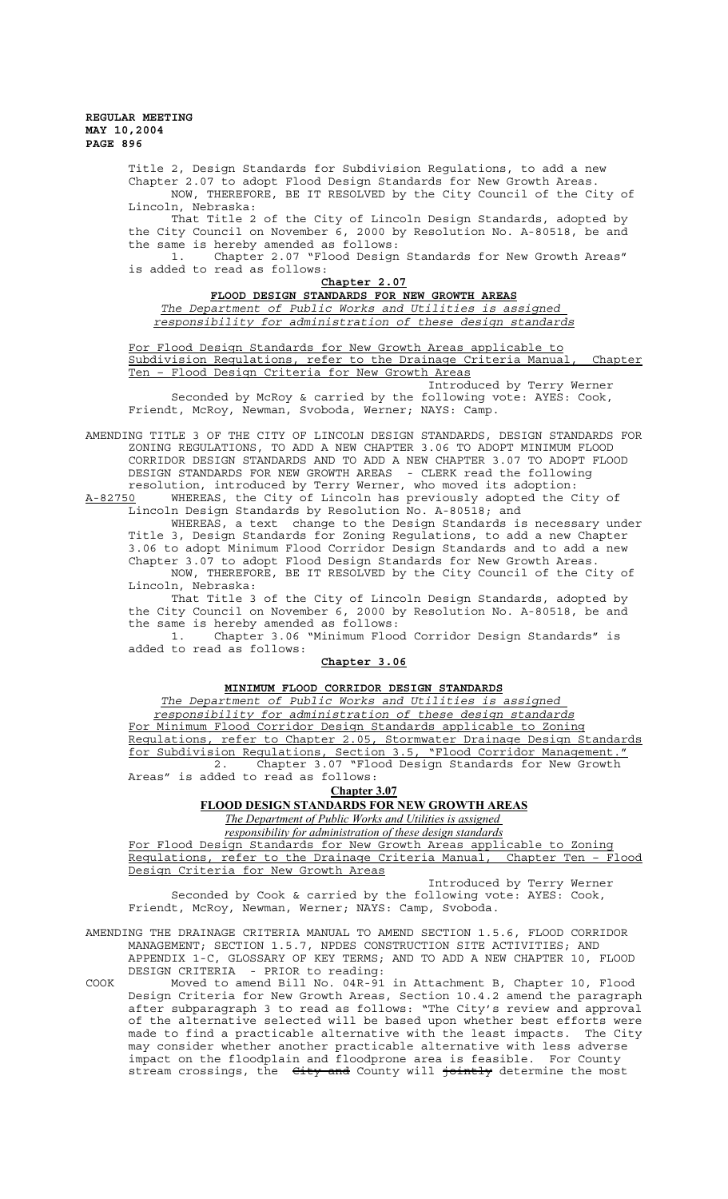> Title 2, Design Standards for Subdivision Regulations, to add a new Chapter 2.07 to adopt Flood Design Standards for New Growth Areas. NOW, THEREFORE, BE IT RESOLVED by the City Council of the City of Lincoln, Nebraska:

> That Title 2 of the City of Lincoln Design Standards, adopted by the City Council on November 6, 2000 by Resolution No. A-80518, be and the same is hereby amended as follows:

> 1. Chapter 2.07 "Flood Design Standards for New Growth Areas" is added to read as follows:

| Chapter 2.07                                                |  |
|-------------------------------------------------------------|--|
| FLOOD DESIGN STANDARDS FOR NEW GROWTH AREAS                 |  |
| The Department of Public Works and Utilities is assigned    |  |
| responsibility for administration of these design standards |  |

For Flood Design Standards for New Growth Areas applicable to Subdivision Regulations, refer to the Drainage Criteria Manual, Chapter Ten – Flood Design Criteria for New Growth Areas

Introduced by Terry Werner Seconded by McRoy & carried by the following vote: AYES: Cook, Friendt, McRoy, Newman, Svoboda, Werner; NAYS: Camp.

AMENDING TITLE 3 OF THE CITY OF LINCOLN DESIGN STANDARDS, DESIGN STANDARDS FOR ZONING REGULATIONS, TO ADD A NEW CHAPTER 3.06 TO ADOPT MINIMUM FLOOD CORRIDOR DESIGN STANDARDS AND TO ADD A NEW CHAPTER 3.07 TO ADOPT FLOOD DESIGN STANDARDS FOR NEW GROWTH AREAS - CLERK read the following resolution, introduced by Terry Werner, who moved its adoption:

A-82750 WHEREAS, the City of Lincoln has previously adopted the City of Lincoln Design Standards by Resolution No. A-80518; and

WHEREAS, a text change to the Design Standards is necessary under Title 3, Design Standards for Zoning Regulations, to add a new Chapter 3.06 to adopt Minimum Flood Corridor Design Standards and to add a new Chapter 3.07 to adopt Flood Design Standards for New Growth Areas. NOW, THEREFORE, BE IT RESOLVED by the City Council of the City of Lincoln, Nebraska:

That Title 3 of the City of Lincoln Design Standards, adopted by the City Council on November 6, 2000 by Resolution No. A-80518, be and the same is hereby amended as follows:

1. Chapter 3.06 "Minimum Flood Corridor Design Standards" is added to read as follows:

## **Chapter 3.06**

# **MINIMUM FLOOD CORRIDOR DESIGN STANDARDS**

*The Department of Public Works and Utilities is assigned responsibility for administration of these design standards* For Minimum Flood Corridor Design Standards applicable to Zoning Regulations, refer to Chapter 2.05, Stormwater Drainage Design Standards for Subdivision Regulations, Section 3.5, "Flood Corridor Management." 2. Chapter 3.07 "Flood Design Standards for New Growth

Areas" is added to read as follows: **Chapter 3.07**

# **FLOOD DESIGN STANDARDS FOR NEW GROWTH AREAS**

*The Department of Public Works and Utilities is assigned* 

*responsibility for administration of these design standards*

For Flood Design Standards for New Growth Areas applicable to Zoning Regulations, refer to the Drainage Criteria Manual, Chapter Ten – Flood Design Criteria for New Growth Areas

Introduced by Terry Werner Seconded by Cook & carried by the following vote: AYES: Cook, Friendt, McRoy, Newman, Werner; NAYS: Camp, Svoboda.

AMENDING THE DRAINAGE CRITERIA MANUAL TO AMEND SECTION 1.5.6, FLOOD CORRIDOR MANAGEMENT; SECTION 1.5.7, NPDES CONSTRUCTION SITE ACTIVITIES; AND APPENDIX 1-C, GLOSSARY OF KEY TERMS; AND TO ADD A NEW CHAPTER 10, FLOOD DESIGN CRITERIA - PRIOR to reading:

COOK Moved to amend Bill No. 04R-91 in Attachment B, Chapter 10, Flood Design Criteria for New Growth Areas, Section 10.4.2 amend the paragraph after subparagraph 3 to read as follows: "The City's review and approval of the alternative selected will be based upon whether best efforts were made to find a practicable alternative with the least impacts. The City may consider whether another practicable alternative with less adverse impact on the floodplain and floodprone area is feasible. For County stream crossings, the City and County will jointly determine the most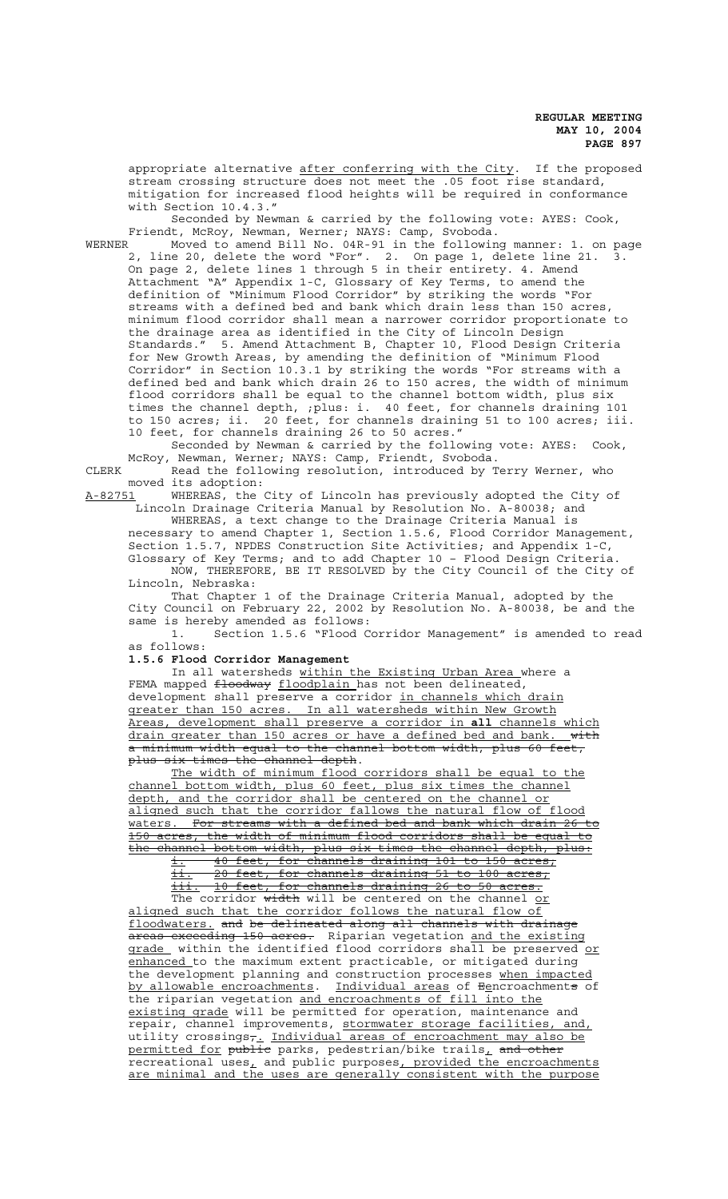appropriate alternative after conferring with the City. If the proposed stream crossing structure does not meet the .05 foot rise standard, mitigation for increased flood heights will be required in conformance with Section 10.4.3."

Seconded by Newman & carried by the following vote: AYES: Cook, Friendt, McRoy, Newman, Werner; NAYS: Camp, Svoboda.

WERNER Moved to amend Bill No. 04R-91 in the following manner: 1. on page 2, line 20, delete the word "For". 2. On page 1, delete line 21. 3. On page 2, delete lines 1 through 5 in their entirety. 4. Amend Attachment "A" Appendix 1-C, Glossary of Key Terms, to amend the definition of "Minimum Flood Corridor" by striking the words "For streams with a defined bed and bank which drain less than 150 acres, minimum flood corridor shall mean a narrower corridor proportionate to the drainage area as identified in the City of Lincoln Design Standards." 5. Amend Attachment B, Chapter 10, Flood Design Criteria for New Growth Areas, by amending the definition of "Minimum Flood Corridor" in Section 10.3.1 by striking the words "For streams with a defined bed and bank which drain 26 to 150 acres, the width of minimum flood corridors shall be equal to the channel bottom width, plus six times the channel depth, ;plus: i. 40 feet, for channels draining 101 to 150 acres; ii. 20 feet, for channels draining 51 to 100 acres; iii. 10 feet, for channels draining 26 to 50 acres."

Seconded by Newman & carried by the following vote: AYES: Cook, McRoy, Newman, Werner; NAYS: Camp, Friendt, Svoboda.

CLERK Read the following resolution, introduced by Terry Werner, who moved its adoption:<br>A-82751 WHEREAS, the

WHEREAS, the City of Lincoln has previously adopted the City of -<br>Lincoln Drainage Criteria Manual by Resolution No. A-80038; and

WHEREAS, a text change to the Drainage Criteria Manual is necessary to amend Chapter 1, Section 1.5.6, Flood Corridor Management, Section 1.5.7, NPDES Construction Site Activities; and Appendix 1-C, Glossary of Key Terms; and to add Chapter 10 – Flood Design Criteria. NOW, THEREFORE, BE IT RESOLVED by the City Council of the City of Lincoln, Nebraska:

That Chapter 1 of the Drainage Criteria Manual, adopted by the City Council on February 22, 2002 by Resolution No. A-80038, be and the same is hereby amended as follows:

1. Section 1.5.6 "Flood Corridor Management" is amended to read as follows:

**1.5.6 Flood Corridor Management**

In all watersheds within the Existing Urban Area where a FEMA mapped floodway floodplain has not been delineated, development shall preserve a corridor in channels which drain greater than 150 acres. In all watersheds within New Growth Areas, development shall preserve a corridor in **all** channels which drain greater than 150 acres or have a defined bed and bank. a minimum width equal to the channel bottom width, plus 60 feet, plus six times the channel depth.

The width of minimum flood corridors shall be equal to the channel bottom width, plus 60 feet, plus six times the channel depth, and the corridor shall be centered on the channel or aligned such that the corridor fallows the natural flow of flood waters. For streams with a defined bed and bank which drain 26 to 150 acres, the width of minimum flood corridors shall be equal to the channel bottom width, plus six times the channel depth, plus:

i. 40 feet, for channels draining 101 to 150 acres; ii. 20 feet, for channels draining 51 to 100 acres; iii. 10 feet, for channels draining 26 to 50 acres. The corridor width will be centered on the channel or

aligned such that the corridor follows the natural flow of floodwaters. and be delineated along all channels with drainage areas exceeding 150 acres. Riparian vegetation and the existing grade within the identified flood corridors shall be preserved or enhanced to the maximum extent practicable, or mitigated during the development planning and construction processes when impacted by allowable encroachments. Individual areas of Eencroachments of the riparian vegetation and encroachments of fill into the existing grade will be permitted for operation, maintenance and repair, channel improvements, stormwater storage facilities, and, utility crossings<del>,</del>. Individual areas of encroachment may also be permitted for public parks, pedestrian/bike trails<u>,</u> and other recreational uses, and public purposes, provided the encroachments are minimal and the uses are generally consistent with the purpose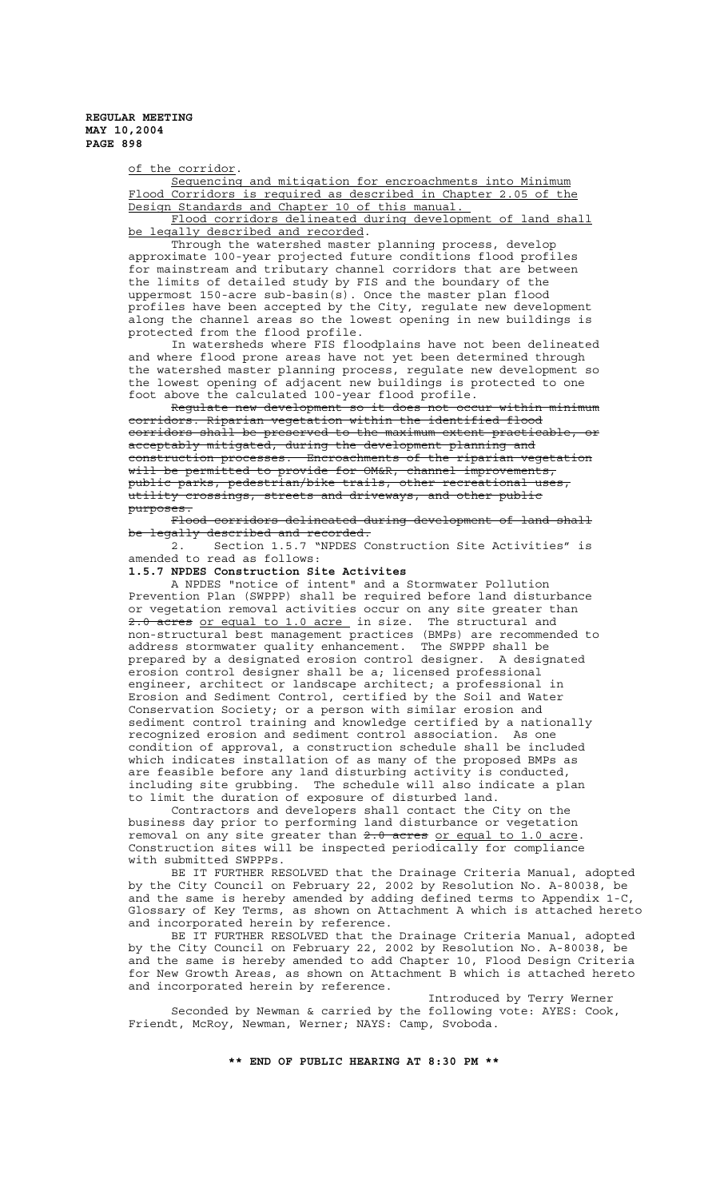of the corridor.

Sequencing and mitigation for encroachments into Minimum Flood Corridors is required as described in Chapter 2.05 of the Design Standards and Chapter 10 of this manual.

Flood corridors delineated during development of land shall be legally described and recorded.

Through the watershed master planning process, develop approximate 100-year projected future conditions flood profiles for mainstream and tributary channel corridors that are between the limits of detailed study by FIS and the boundary of the uppermost 150-acre sub-basin(s). Once the master plan flood profiles have been accepted by the City, regulate new development along the channel areas so the lowest opening in new buildings is protected from the flood profile.

In watersheds where FIS floodplains have not been delineated and where flood prone areas have not yet been determined through the watershed master planning process, regulate new development so the lowest opening of adjacent new buildings is protected to one foot above the calculated 100-year flood profile.

Regulate new development so it does not occur within minimum corridors. Riparian vegetation within the identified flood corridors shall be preserved to the maximum extent practicable, or acceptably mitigated, during the development planning and construction processes. Encroachments of the riparian vegetation will be permitted to provide for OM&R, channel improvements, public parks, pedestrian/bike trails, other recreational uses,  $\tt{utility crossings, streets and drivers, and others public}$ purposes.

Flood corridors delineated during development of land shall be legally described and recorded.<br>2. Section 1.5.7 "NPDES C

Section 1.5.7 "NPDES Construction Site Activities" is amended to read as follows:

## **1.5.7 NPDES Construction Site Activites**

A NPDES "notice of intent" and a Stormwater Pollution Prevention Plan (SWPPP) shall be required before land disturbance or vegetation removal activities occur on any site greater than 2.0 acres or equal to 1.0 acre in size. The structural and non-structural best management practices (BMPs) are recommended to address stormwater quality enhancement. The SWPPP shall be prepared by a designated erosion control designer. A designated erosion control designer shall be a; licensed professional engineer, architect or landscape architect; a professional in Erosion and Sediment Control, certified by the Soil and Water Conservation Society; or a person with similar erosion and sediment control training and knowledge certified by a nationally recognized erosion and sediment control association. As one condition of approval, a construction schedule shall be included which indicates installation of as many of the proposed BMPs as are feasible before any land disturbing activity is conducted, including site grubbing. The schedule will also indicate a plan to limit the duration of exposure of disturbed land.

Contractors and developers shall contact the City on the business day prior to performing land disturbance or vegetation removal on any site greater than  $2.0$  acres or equal to 1.0 acre. Construction sites will be inspected periodically for compliance with submitted SWPPPs.

BE IT FURTHER RESOLVED that the Drainage Criteria Manual, adopted by the City Council on February 22, 2002 by Resolution No. A-80038, be and the same is hereby amended by adding defined terms to Appendix 1-C, Glossary of Key Terms, as shown on Attachment A which is attached hereto and incorporated herein by reference.

BE IT FURTHER RESOLVED that the Drainage Criteria Manual, adopted by the City Council on February 22, 2002 by Resolution No. A-80038, be and the same is hereby amended to add Chapter 10, Flood Design Criteria for New Growth Areas, as shown on Attachment B which is attached hereto and incorporated herein by reference.

Introduced by Terry Werner Seconded by Newman & carried by the following vote: AYES: Cook, Friendt, McRoy, Newman, Werner; NAYS: Camp, Svoboda.